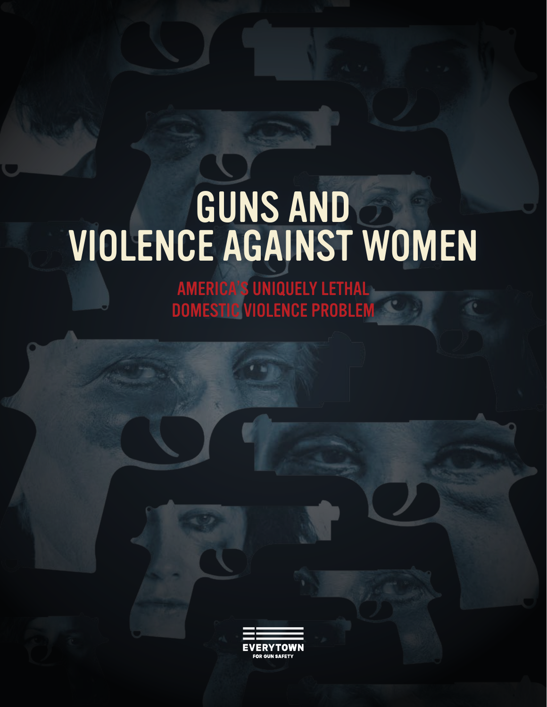# GUNS AND VIOLENCE AGAINST WOMEN

AMERICA'S UNIQUELY LETHAL DOMESTIC VIOLENCE PROBLEM

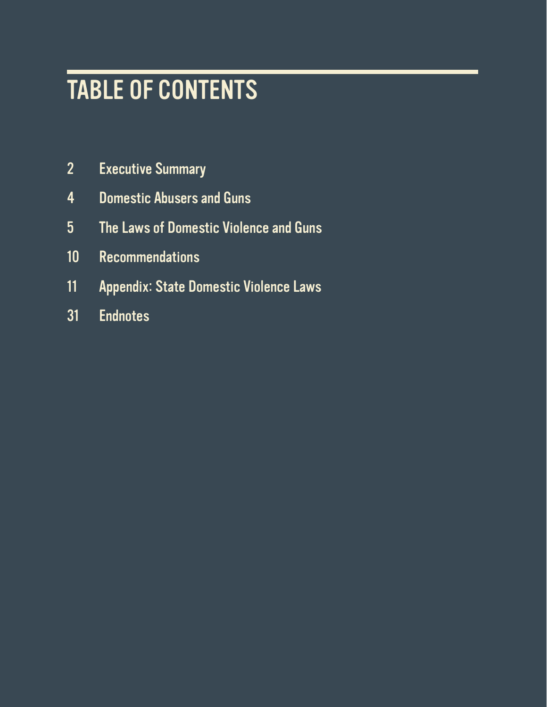# TABLE OF CONTENTS

- Executive Summary
- Domestic Abusers and Guns
- The Laws of Domestic Violence and Guns
- Recommendations
- Appendix: State Domestic Violence Laws
- Endnotes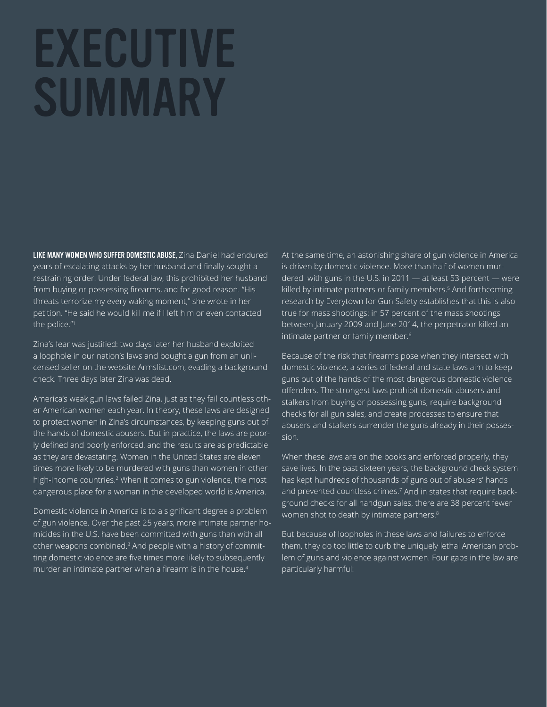# EXECUTIVE **SUMMARY**

LIKE MANY WOMEN WHO SUFFER DOMESTIC ABUSE, Zina Daniel had endured years of escalating attacks by her husband and finally sought a restraining order. Under federal law, this prohibited her husband from buying or possessing firearms, and for good reason. "His threats terrorize my every waking moment," she wrote in her petition. "He said he would kill me if I left him or even contacted the police."1

Zina's fear was justified: two days later her husband exploited a loophole in our nation's laws and bought a gun from an unlicensed seller on the website Armslist.com, evading a background check. Three days later Zina was dead.

America's weak gun laws failed Zina, just as they fail countless other American women each year. In theory, these laws are designed to protect women in Zina's circumstances, by keeping guns out of the hands of domestic abusers. But in practice, the laws are poor-Iy defined and poorly enforced, and the results are as predictable as they are devastating. Women in the United States are eleven times more likely to be murdered with guns than women in other high-income countries.2 When it comes to gun violence, the most dangerous place for a woman in the developed world is America.

Domestic violence in America is to a significant degree a problem of gun violence. Over the past 25 years, more intimate partner homicides in the U.S. have been committed with guns than with all other weapons combined.<sup>3</sup> And people with a history of committing domestic violence are five times more likely to subsequently murder an intimate partner when a firearm is in the house.<sup>4</sup>

At the same time, an astonishing share of gun violence in America is driven by domestic violence. More than half of women murdered with guns in the U.S. in 2011 — at least 53 percent — were killed by intimate partners or family members.<sup>5</sup> And forthcoming research by Everytown for Gun Safety establishes that this is also true for mass shootings: in 57 percent of the mass shootings between January 2009 and June 2014, the perpetrator killed an intimate partner or family member.<sup>6</sup>

Because of the risk that firearms pose when they intersect with domestic violence, a series of federal and state laws aim to keep guns out of the hands of the most dangerous domestic violence offenders. The strongest laws prohibit domestic abusers and stalkers from buying or possessing guns, require background checks for all gun sales, and create processes to ensure that abusers and stalkers surrender the guns already in their possession.

When these laws are on the books and enforced properly, they save lives. In the past sixteen years, the background check system has kept hundreds of thousands of guns out of abusers' hands and prevented countless crimes.<sup>7</sup> And in states that require background checks for all handgun sales, there are 38 percent fewer women shot to death by intimate partners.<sup>8</sup>

But because of loopholes in these laws and failures to enforce them, they do too little to curb the uniquely lethal American problem of guns and violence against women. Four gaps in the law are particularly harmful: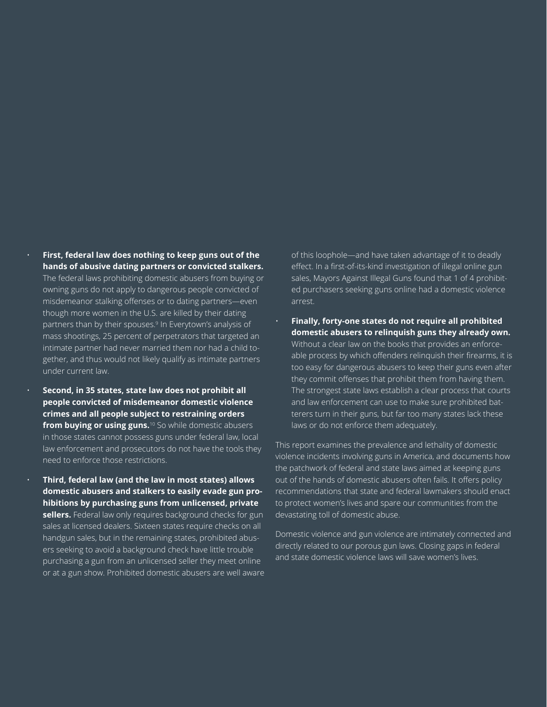- **First, federal law does nothing to keep guns out of the hands of abusive dating partners or convicted stalkers.** The federal laws prohibiting domestic abusers from buying or owning guns do not apply to dangerous people convicted of misdemeanor stalking offenses or to dating partners-even though more women in the U.S. are killed by their dating partners than by their spouses.<sup>9</sup> In Everytown's analysis of mass shootings, 25 percent of perpetrators that targeted an intimate partner had never married them nor had a child together, and thus would not likely qualify as intimate partners under current law.
- **Second, in 35 states, state law does not prohibit all people convicted of misdemeanor domestic violence crimes and all people subject to restraining orders**  from buying or using guns.<sup>10</sup> So while domestic abusers in those states cannot possess guns under federal law, local law enforcement and prosecutors do not have the tools they need to enforce those restrictions.
- **Third, federal law (and the law in most states) allows domestic abusers and stalkers to easily evade gun prohibitions by purchasing guns from unlicensed, private**  sellers. Federal law only requires background checks for gun sales at licensed dealers. Sixteen states require checks on all handgun sales, but in the remaining states, prohibited abusers seeking to avoid a background check have little trouble purchasing a gun from an unlicensed seller they meet online or at a gun show. Prohibited domestic abusers are well aware

of this loophole—and have taken advantage of it to deadly effect. In a first-of-its-kind investigation of illegal online gun sales, Mayors Against Illegal Guns found that 1 of 4 prohibited purchasers seeking guns online had a domestic violence arrest.

• **Finally, forty-one states do not require all prohibited domestic abusers to relinquish guns they already own.** Without a clear law on the books that provides an enforceable process by which offenders relinquish their firearms, it is too easy for dangerous abusers to keep their guns even after they commit offenses that prohibit them from having them. The strongest state laws establish a clear process that courts and law enforcement can use to make sure prohibited batterers turn in their guns, but far too many states lack these laws or do not enforce them adequately.

This report examines the prevalence and lethality of domestic violence incidents involving guns in America, and documents how the patchwork of federal and state laws aimed at keeping guns out of the hands of domestic abusers often fails. It offers policy recommendations that state and federal lawmakers should enact to protect women's lives and spare our communities from the devastating toll of domestic abuse.

Domestic violence and gun violence are intimately connected and directly related to our porous gun laws. Closing gaps in federal and state domestic violence laws will save women's lives.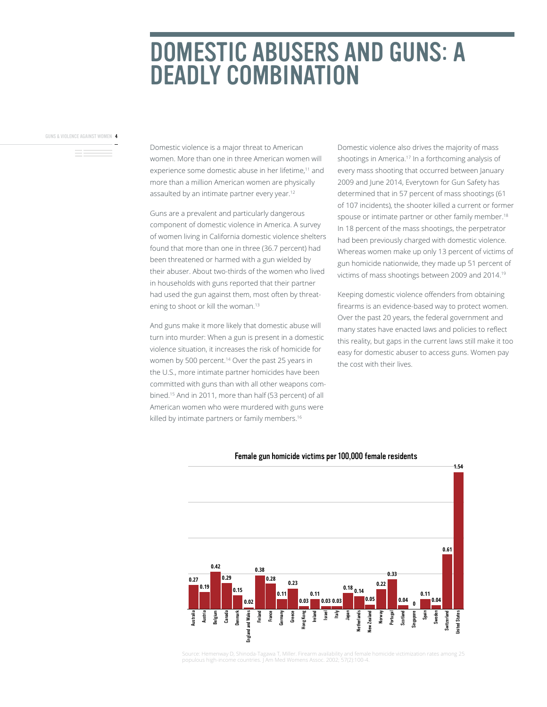# DOMESTIC ABUSERS AND GUNS: A DEADLY COMBINATION

GUNS & VIOLENCE AGAINST WOMEN 4

Domestic violence is a major threat to American women. More than one in three American women will experience some domestic abuse in her lifetime,<sup>11</sup> and more than a million American women are physically assaulted by an intimate partner every year.<sup>12</sup>

Guns are a prevalent and particularly dangerous component of domestic violence in America. A survey of women living in California domestic violence shelters found that more than one in three (36.7 percent) had been threatened or harmed with a gun wielded by their abuser. About two-thirds of the women who lived in households with guns reported that their partner had used the gun against them, most often by threatening to shoot or kill the woman.<sup>13</sup>

And guns make it more likely that domestic abuse will turn into murder: When a gun is present in a domestic violence situation, it increases the risk of homicide for women by 500 percent.<sup>14</sup> Over the past 25 years in the U.S., more intimate partner homicides have been committed with guns than with all other weapons combined.<sup>15</sup> And in 2011, more than half (53 percent) of all American women who were murdered with guns were killed by intimate partners or family members.<sup>16</sup>

Domestic violence also drives the majority of mass shootings in America.<sup>17</sup> In a forthcoming analysis of every mass shooting that occurred between January 2009 and June 2014, Everytown for Gun Safety has determined that in 57 percent of mass shootings (61 of 107 incidents), the shooter killed a current or former spouse or intimate partner or other family member.<sup>18</sup> In 18 percent of the mass shootings, the perpetrator had been previously charged with domestic violence. Whereas women make up only 13 percent of victims of gun homicide nationwide, they made up 51 percent of victims of mass shootings between 2009 and 2014.19

Keeping domestic violence offenders from obtaining firearms is an evidence-based way to protect women. Over the past 20 years, the federal government and many states have enacted laws and policies to reflect this reality, but gaps in the current laws still make it too easy for domestic abuser to access guns. Women pay the cost with their lives.



#### Female gun homicide victims per 100,000 female residents

Source: Hemenway D. Shinoda-Tagawa T. Miller. Firearm availability and female homicide victimization rates among 25 populous high-income countries. J Am Med Womens Assoc. 2002; 57(2):100-4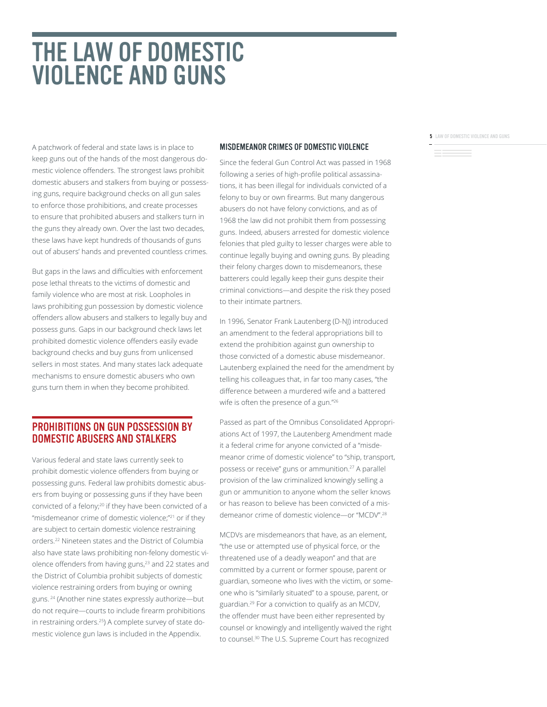# THE LAW OF DOMESTIC VIOLENCE AND GUNS

A patchwork of federal and state laws is in place to keep guns out of the hands of the most dangerous domestic violence offenders. The strongest laws prohibit domestic abusers and stalkers from buying or possessing guns, require background checks on all gun sales to enforce those prohibitions, and create processes to ensure that prohibited abusers and stalkers turn in the guns they already own. Over the last two decades, these laws have kept hundreds of thousands of guns out of abusers' hands and prevented countless crimes.

But gaps in the laws and difficulties with enforcement pose lethal threats to the victims of domestic and family violence who are most at risk. Loopholes in laws prohibiting gun possession by domestic violence offenders allow abusers and stalkers to legally buy and possess guns. Gaps in our background check laws let prohibited domestic violence offenders easily evade background checks and buy guns from unlicensed sellers in most states. And many states lack adequate mechanisms to ensure domestic abusers who own guns turn them in when they become prohibited.

#### PROHIBITIONS ON GUN POSSESSION BY DOMESTIC ABUSERS AND STALKERS

Various federal and state laws currently seek to prohibit domestic violence offenders from buying or possessing guns. Federal law prohibits domestic abusers from buying or possessing guns if they have been convicted of a felony;20 if they have been convicted of a "misdemeanor crime of domestic violence;"<sup>21</sup> or if they are subject to certain domestic violence restraining orders.22 Nineteen states and the District of Columbia also have state laws prohibiting non-felony domestic violence offenders from having guns,<sup>23</sup> and 22 states and the District of Columbia prohibit subjects of domestic violence restraining orders from buying or owning guns. <sup>24</sup> (Another nine states expressly authorize-but do not require—courts to include firearm prohibitions in restraining orders.<sup>25</sup>) A complete survey of state domestic violence gun laws is included in the Appendix.

#### MISDEMEANOR CRIMES OF DOMESTIC VIOLENCE

Since the federal Gun Control Act was passed in 1968 following a series of high-profile political assassinations, it has been illegal for individuals convicted of a felony to buy or own firearms. But many dangerous abusers do not have felony convictions, and as of 1968 the law did not prohibit them from possessing guns. Indeed, abusers arrested for domestic violence felonies that pled guilty to lesser charges were able to continue legally buying and owning guns. By pleading their felony charges down to misdemeanors, these batterers could legally keep their guns despite their criminal convictions—and despite the risk they posed to their intimate partners.

In 1996, Senator Frank Lautenberg (D-NJ) introduced an amendment to the federal appropriations bill to extend the prohibition against gun ownership to those convicted of a domestic abuse misdemeanor. Lautenberg explained the need for the amendment by telling his colleagues that, in far too many cases, "the difference between a murdered wife and a battered wife is often the presence of a gun."26

Passed as part of the Omnibus Consolidated Appropriations Act of 1997, the Lautenberg Amendment made it a federal crime for anyone convicted of a "misdemeanor crime of domestic violence" to "ship, transport, possess or receive" guns or ammunition.<sup>27</sup> A parallel provision of the law criminalized knowingly selling a gun or ammunition to anyone whom the seller knows or has reason to believe has been convicted of a misdemeanor crime of domestic violence-or "MCDV".<sup>28</sup>

MCDVs are misdemeanors that have, as an element, "the use or attempted use of physical force, or the threatened use of a deadly weapon" and that are committed by a current or former spouse, parent or guardian, someone who lives with the victim, or someone who is "similarly situated" to a spouse, parent, or guardian.<sup>29</sup> For a conviction to qualify as an MCDV, the offender must have been either represented by counsel or knowingly and intelligently waived the right to counsel.30 The U.S. Supreme Court has recognized

**5** LAW OF DOMESTIC VIOLENCE AND GUNS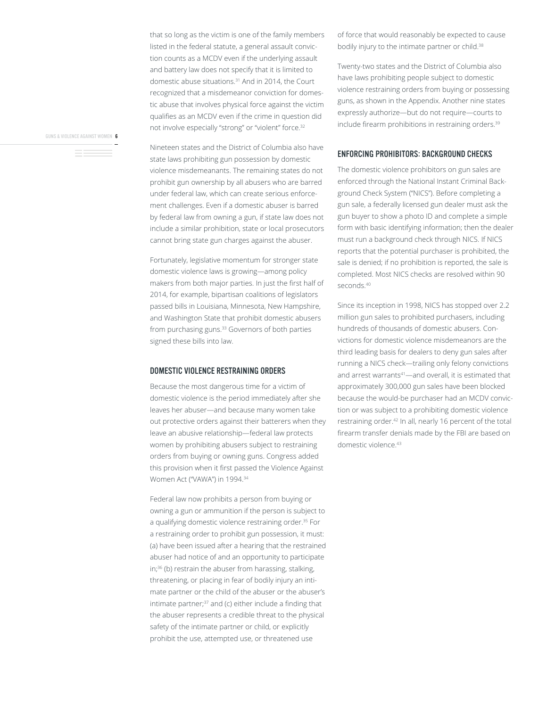that so long as the victim is one of the family members listed in the federal statute, a general assault conviction counts as a MCDV even if the underlying assault and battery law does not specify that it is limited to domestic abuse situations.31 And in 2014, the Court recognized that a misdemeanor conviction for domestic abuse that involves physical force against the victim qualifies as an MCDV even if the crime in question did not involve especially "strong" or "violent" force.<sup>32</sup>

GUNS & VIOLENCE AGAINST WOMEN 6

Nineteen states and the District of Columbia also have state laws prohibiting gun possession by domestic violence misdemeanants. The remaining states do not prohibit gun ownership by all abusers who are barred under federal law, which can create serious enforcement challenges. Even if a domestic abuser is barred by federal law from owning a gun, if state law does not include a similar prohibition, state or local prosecutors cannot bring state gun charges against the abuser.

Fortunately, legislative momentum for stronger state domestic violence laws is growing—among policy makers from both major parties. In just the first half of 2014, for example, bipartisan coalitions of legislators passed bills in Louisiana, Minnesota, New Hampshire, and Washington State that prohibit domestic abusers from purchasing guns.<sup>33</sup> Governors of both parties signed these bills into law.

#### DOMESTIC VIOLENCE RESTRAINING ORDERS

Because the most dangerous time for a victim of domestic violence is the period immediately after she leaves her abuser—and because many women take out protective orders against their batterers when they leave an abusive relationship—federal law protects women by prohibiting abusers subject to restraining orders from buying or owning guns. Congress added this provision when it first passed the Violence Against Women Act ("VAWA") in 1994.<sup>34</sup>

Federal law now prohibits a person from buying or owning a gun or ammunition if the person is subject to a qualifying domestic violence restraining order.<sup>35</sup> For a restraining order to prohibit gun possession, it must: (a) have been issued after a hearing that the restrained abuser had notice of and an opportunity to participate in;<sup>36</sup> (b) restrain the abuser from harassing, stalking, threatening, or placing in fear of bodily injury an intimate partner or the child of the abuser or the abuser's intimate partner; $37$  and (c) either include a finding that the abuser represents a credible threat to the physical safety of the intimate partner or child, or explicitly prohibit the use, attempted use, or threatened use

of force that would reasonably be expected to cause bodily injury to the intimate partner or child.<sup>38</sup>

Twenty-two states and the District of Columbia also have laws prohibiting people subject to domestic violence restraining orders from buying or possessing guns, as shown in the Appendix. Another nine states expressly authorize-but do not require-courts to include firearm prohibitions in restraining orders.<sup>39</sup>

#### ENFORCING PROHIBITORS: BACKGROUND CHECKS

The domestic violence prohibitors on gun sales are enforced through the National Instant Criminal Background Check System ("NICS"). Before completing a gun sale, a federally licensed gun dealer must ask the gun buyer to show a photo ID and complete a simple form with basic identifying information; then the dealer must run a background check through NICS. If NICS reports that the potential purchaser is prohibited, the sale is denied; if no prohibition is reported, the sale is completed. Most NICS checks are resolved within 90 seconds.<sup>40</sup>

Since its inception in 1998, NICS has stopped over 2.2 million gun sales to prohibited purchasers, including hundreds of thousands of domestic abusers. Convictions for domestic violence misdemeanors are the third leading basis for dealers to deny gun sales after running a NICS check-trailing only felony convictions and arrest warrants<sup>41</sup>—and overall, it is estimated that approximately 300,000 gun sales have been blocked because the would-be purchaser had an MCDV conviction or was subject to a prohibiting domestic violence restraining order.<sup>42</sup> In all, nearly 16 percent of the total firearm transfer denials made by the FBI are based on domestic violence.43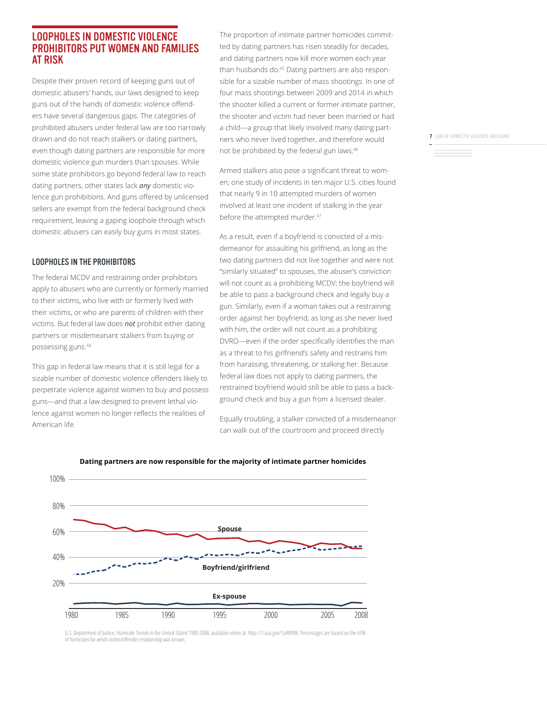#### LOOPHOLES IN DOMESTIC VIOLENCE PROHIBITORS PUT WOMEN AND FAMILIES AT RISK

Despite their proven record of keeping guns out of domestic abusers' hands, our laws designed to keep guns out of the hands of domestic violence offenders have several dangerous gaps. The categories of prohibited abusers under federal law are too narrowly drawn and do not reach stalkers or dating partners, even though dating partners are responsible for more domestic violence gun murders than spouses. While some state prohibitors go beyond federal law to reach dating partners, other states lack *any* domestic violence gun prohibitions. And guns offered by unlicensed sellers are exempt from the federal background check requirement, leaving a gaping loophole through which domestic abusers can easily buy guns in most states.

#### LOOPHOLES IN THE PROHIBITORS

The federal MCDV and restraining order prohibitors apply to abusers who are currently or formerly married to their victims, who live with or formerly lived with their victims, or who are parents of children with their victims. But federal law does *not* prohibit either dating partners or misdemeanant stalkers from buying or possessing guns.44

This gap in federal law means that it is still legal for a sizable number of domestic violence offenders likely to perpetrate violence against women to buy and possess guns—and that a law designed to prevent lethal violence against women no longer reflects the realities of American life.

The proportion of intimate partner homicides committed by dating partners has risen steadily for decades, and dating partners now kill more women each year than husbands do.<sup>45</sup> Dating partners are also responsible for a sizable number of mass shootings. In one of four mass shootings between 2009 and 2014 in which the shooter killed a current or former intimate partner, the shooter and victim had never been married or had a child—a group that likely involved many dating partners who never lived together, and therefore would not be prohibited by the federal gun laws.46

Armed stalkers also pose a significant threat to women; one study of incidents in ten major U.S. cities found that nearly 9 in 10 attempted murders of women involved at least one incident of stalking in the year before the attempted murder.<sup>47</sup>

As a result, even if a boyfriend is convicted of a misdemeanor for assaulting his girlfriend, as long as the two dating partners did not live together and were not "similarly situated" to spouses, the abuser's conviction will not count as a prohibiting MCDV; the boyfriend will be able to pass a background check and legally buy a gun. Similarly, even if a woman takes out a restraining order against her boyfriend, as long as she never lived with him, the order will not count as a prohibiting DVRO-even if the order specifically identifies the man as a threat to his girlfriend's safety and restrains him from harassing, threatening, or stalking her. Because federal law does not apply to dating partners, the restrained boyfriend would still be able to pass a background check and buy a gun from a licensed dealer.

Equally troubling, a stalker convicted of a misdemeanor can walk out of the courtroom and proceed directly

100% 80% **Spouse** 60%  $\frac{1}{2}$ 40% -------**Boyfriend/girlfriend** 20% **Ex-spouse** 1980 1985 1990 1995 2000 2005 2008



U.S. Department of Justice, Homicide Trends in the United Stated 1980-2008, available online at: http://1.usa.gov/1uARYtW. Percentages are based on the 63% of homicides for which victim/offender relationship was knowr

**7** LAW OF DOMESTIC VIOLENCE AND GUNS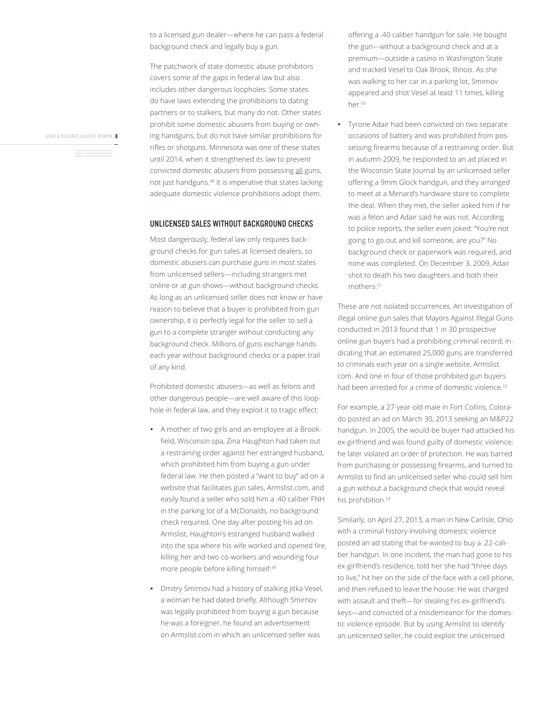to a licensed gun dealer—where he can pass a federal background check and legally buy a gun.

The patchwork of state domestic abuse prohibitors covers some of the gaps in federal law but also includes other dangerous loopholes. Some states do have laws extending the prohibitions to dating partners or to stalkers, but many do not. Other states prohibit some domestic abusers from buying or owning handguns, but do not have similar prohibitions for rifles or shotguns. Minnesota was one of these states until 2014, when it strengthened its law to prevent convicted domestic abusers from possessing all guns, not just handguns.<sup>48</sup> It is imperative that states lacking adequate domestic violence prohibitions adopt them.

#### UNLICENSED SALES WITHOUT BACKGROUND CHECKS

Most dangerously, federal law only requires background checks for gun sales at licensed dealers, so domestic abusers can purchase guns in most states from unlicensed sellers—including strangers met online or at gun shows—without background checks. As long as an unlicensed seller does not know or have reason to believe that a buyer is prohibited from gun ownership, it is perfectly legal for the seller to sell a gun to a complete stranger without conducting any background check. Millions of guns exchange hands each year without background checks or a paper trail of any kind.

Prohibited domestic abusers—as well as felons and other dangerous people—are well aware of this loophole in federal law, and they exploit it to tragic effect:

- A mother of two girls and an employee at a Brookfield, Wisconsin spa, Zina Haughton had taken out a restraining order against her estranged husband, which prohibited him from buying a gun under federal law. He then posted a "want to buy" ad on a website that facilitates gun sales, Armslist.com, and easily found a seller who sold him a .40 caliber FNH in the parking lot of a McDonalds, no background check required. One day after posting his ad on Armslist, Haughton's estranged husband walked into the spa where his wife worked and opened fire, killing her and two co-workers and wounding four more people before killing himself.49
- Dmitry Smirnov had a history of stalking Jitka Vesel, a woman he had dated briefly. Although Smirnov was legally prohibited from buying a gun because he was a foreigner, he found an advertisement on Armslist.com in which an unlicensed seller was

offering a .40 caliber handgun for sale. He bought the gun—without a background check and at a premium—outside a casino in Washington State and tracked Vesel to Oak Brook, Illinois. As she was walking to her car in a parking lot, Smirnov appeared and shot Vesel at least 11 times, killing her.50

• Tyrone Adair had been convicted on two separate occasions of battery and was prohibited from possessing firearms because of a restraining order. But in autumn 2009, he responded to an ad placed in the Wisconsin State Journal by an unlicensed seller offering a 9mm Glock handgun, and they arranged to meet at a Menard's hardware store to complete the deal. When they met, the seller asked him if he was a felon and Adair said he was not. According to police reports, the seller even joked: "You're not going to go out and kill someone, are you?" No background check or paperwork was required, and none was completed. On December 3, 2009, Adair shot to death his two daughters and both their mothers.51

These are not isolated occurrences. An investigation of illegal online gun sales that Mayors Against Illegal Guns conducted in 2013 found that 1 in 30 prospective online gun buyers had a prohibiting criminal record, indicating that an estimated 25,000 guns are transferred to criminals each year on a single website, Armslist. com. And one in four of those prohibited gun buyers had been arrested for a crime of domestic violence.<sup>52</sup>

For example, a 27-year-old male in Fort Collins, Colorado posted an ad on March 30, 2013 seeking an M&P22 handgun. In 2005, the would-be buyer had attacked his ex-girlfriend and was found guilty of domestic violence; he later violated an order of protection. He was barred from purchasing or possessing firearms, and turned to Armslist to find an unlicensed seller who could sell him a gun without a background check that would reveal his prohibition.<sup>53</sup>

Similarly, on April 27, 2013, a man in New Carlisle, Ohio with a criminal history involving domestic violence posted an ad stating that he wanted to buy a .22-caliber handgun. In one incident, the man had gone to his ex-girlfriend's residence, told her she had "three days to live," hit her on the side of the face with a cell phone, and then refused to leave the house. He was charged with assault and theft-for stealing his ex-girlfriend's keys—and convicted of a misdemeanor for the domestic violence episode. But by using Armslist to identify an unlicensed seller, he could exploit the unlicensed

GUNS & VIOLENCE AGAINST WOMEN **8**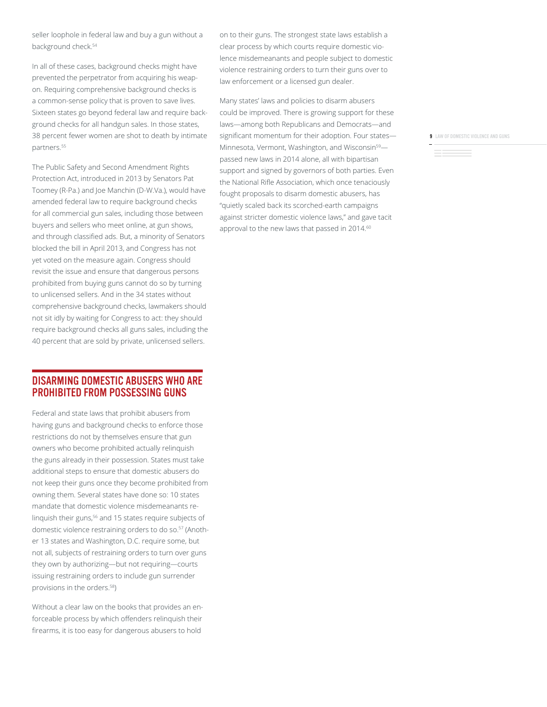seller loophole in federal law and buy a gun without a background check.<sup>54</sup>

In all of these cases, background checks might have prevented the perpetrator from acquiring his weapon. Requiring comprehensive background checks is a common-sense policy that is proven to save lives. Sixteen states go beyond federal law and require background checks for all handgun sales. In those states, 38 percent fewer women are shot to death by intimate partners.<sup>55</sup>

The Public Safety and Second Amendment Rights Protection Act, introduced in 2013 by Senators Pat Toomey (R-Pa.) and Joe Manchin (D-W.Va.), would have amended federal law to require background checks for all commercial gun sales, including those between buyers and sellers who meet online, at gun shows, and through classified ads. But, a minority of Senators blocked the bill in April 2013, and Congress has not yet voted on the measure again. Congress should revisit the issue and ensure that dangerous persons prohibited from buying guns cannot do so by turning to unlicensed sellers. And in the 34 states without comprehensive background checks, lawmakers should not sit idly by waiting for Congress to act: they should require background checks all guns sales, including the 40 percent that are sold by private, unlicensed sellers.

#### DISARMING DOMESTIC ABUSERS WHO ARE PROHIBITED FROM POSSESSING GUNS

Federal and state laws that prohibit abusers from having guns and background checks to enforce those restrictions do not by themselves ensure that gun owners who become prohibited actually relinguish the guns already in their possession. States must take additional steps to ensure that domestic abusers do not keep their guns once they become prohibited from owning them. Several states have done so: 10 states mandate that domestic violence misdemeanants relinguish their guns,<sup>56</sup> and 15 states require subjects of domestic violence restraining orders to do so.<sup>57</sup> (Another 13 states and Washington, D.C. require some, but not all, subjects of restraining orders to turn over guns they own by authorizing-but not requiring-courts issuing restraining orders to include gun surrender provisions in the orders.58

Without a clear law on the books that provides an enforceable process by which offenders relinquish their firearms, it is too easy for dangerous abusers to hold

on to their guns. The strongest state laws establish a clear process by which courts require domestic violence misdemeanants and people subject to domestic violence restraining orders to turn their guns over to law enforcement or a licensed gun dealer.

Many states' laws and policies to disarm abusers could be improved. There is growing support for these laws—among both Republicans and Democrats—and significant momentum for their adoption. Four states-Minnesota, Vermont, Washington, and Wisconsin<sup>59</sup>passed new laws in 2014 alone, all with bipartisan support and signed by governors of both parties. Even the National Rifle Association, which once tenaciously fought proposals to disarm domestic abusers, has "quietly scaled back its scorched-earth campaigns against stricter domestic violence laws," and gave tacit approval to the new laws that passed in 2014.<sup>60</sup>

**9** LAW OF DOMESTIC VIOLENCE AND GUNS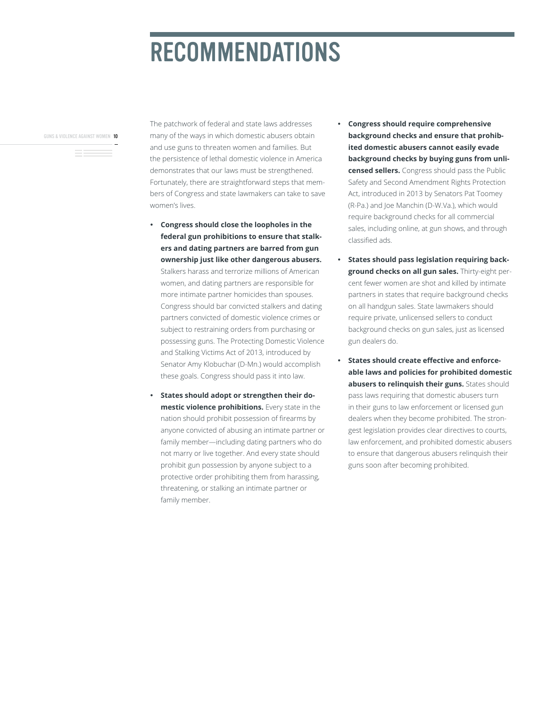# RECOMMENDATIONS

GUNS & VIOLENCE AGAINST WOMEN 10

The patchwork of federal and state laws addresses many of the ways in which domestic abusers obtain and use guns to threaten women and families. But the persistence of lethal domestic violence in America demonstrates that our laws must be strengthened. Fortunately, there are straightforward steps that members of Congress and state lawmakers can take to save women's lives.

- y **Congress should close the loopholes in the federal gun prohibitions to ensure that stalkers and dating partners are barred from gun ownership just like other dangerous abusers.**  Stalkers harass and terrorize millions of American women, and dating partners are responsible for more intimate partner homicides than spouses. Congress should bar convicted stalkers and dating partners convicted of domestic violence crimes or subject to restraining orders from purchasing or possessing guns. The Protecting Domestic Violence and Stalking Victims Act of 2013, introduced by Senator Amy Klobuchar (D-Mn.) would accomplish these goals. Congress should pass it into law.
- **States should adopt or strengthen their domestic violence prohibitions.** Every state in the nation should prohibit possession of firearms by anyone convicted of abusing an intimate partner or family member—including dating partners who do not marry or live together. And every state should prohibit gun possession by anyone subject to a protective order prohibiting them from harassing, threatening, or stalking an intimate partner or family member.
- **Congress should require comprehensive background checks and ensure that prohibited domestic abusers cannot easily evade background checks by buying guns from unlicensed sellers.** Congress should pass the Public Safety and Second Amendment Rights Protection Act, introduced in 2013 by Senators Pat Toomey (R-Pa.) and Joe Manchin (D-W.Va.), which would require background checks for all commercial sales, including online, at gun shows, and through classified ads.
- **States should pass legislation requiring background checks on all gun sales.** Thirty-eight percent fewer women are shot and killed by intimate partners in states that require background checks on all handgun sales. State lawmakers should require private, unlicensed sellers to conduct background checks on gun sales, just as licensed gun dealers do.
- **6** States should create effective and enforce**able laws and policies for prohibited domestic abusers to relinquish their guns.** States should pass laws requiring that domestic abusers turn in their guns to law enforcement or licensed gun dealers when they become prohibited. The strongest legislation provides clear directives to courts, law enforcement, and prohibited domestic abusers to ensure that dangerous abusers relinquish their guns soon after becoming prohibited.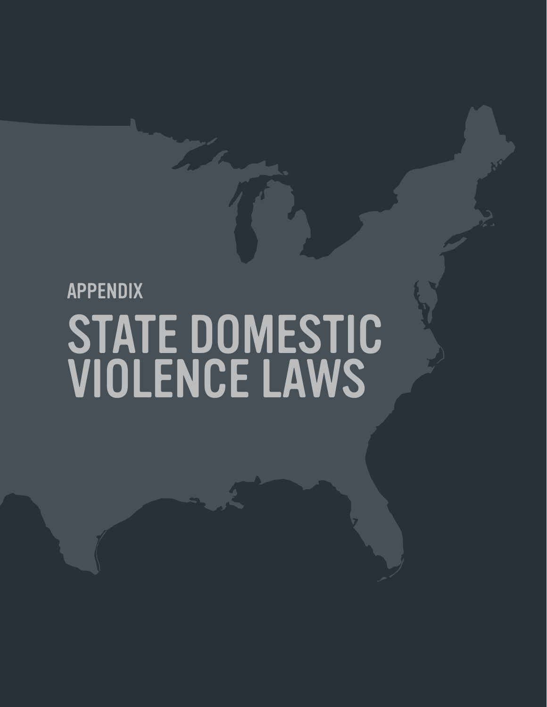# APPENDIX STATE DOMESTIC VIOLENCE LAWS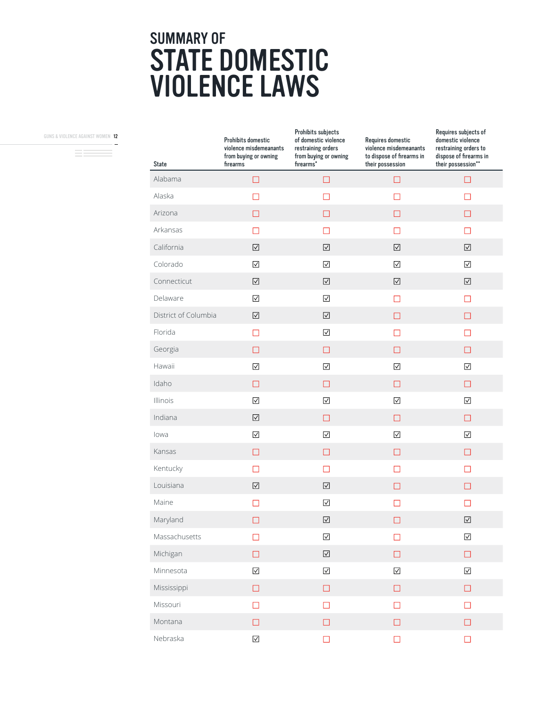# SUMMARY OF STATE DOMESTIC VIOLENCE LAWS

GUNS & VIOLENCE AGAINST WOMEN 12

 $\overline{\phantom{a}}$ 

| <b>State</b>         | <b>Prohibits domestic</b><br>violence misdemeanants<br>from buying or owning<br>firearms | Prohibits subjects<br>of domestic violence<br>restraining orders<br>from buying or owning<br>firearms <sup>*</sup> | Requires domestic<br>violence misdemeanants<br>to dispose of firearms in<br>their possession | Requires subjects of<br>domestic violence<br>restraining orders to<br>dispose of firearms in<br>their possession** |
|----------------------|------------------------------------------------------------------------------------------|--------------------------------------------------------------------------------------------------------------------|----------------------------------------------------------------------------------------------|--------------------------------------------------------------------------------------------------------------------|
| Alabama              | □                                                                                        | $\Box$                                                                                                             | $\Box$                                                                                       | $\Box$                                                                                                             |
| Alaska               | $\mathsf{L}$                                                                             | $\mathsf{L}$                                                                                                       | Ш                                                                                            |                                                                                                                    |
| Arizona              | $\Box$                                                                                   | $\Box$                                                                                                             | П                                                                                            | П                                                                                                                  |
| Arkansas             | П                                                                                        | П                                                                                                                  | П                                                                                            | П                                                                                                                  |
| California           | ☑                                                                                        | $\overline{\vee}$                                                                                                  | ☑                                                                                            | $\boxed{\vee}$                                                                                                     |
| Colorado             | $\boxed{\vee}$                                                                           | $\overline{\vee}$                                                                                                  | $\overline{\vee}$                                                                            | $\boxed{\vee}$                                                                                                     |
| Connecticut          | $\boxed{\vee}$                                                                           | $\overline{\vee}$                                                                                                  | $\boxed{\vee}$                                                                               | $\boxed{\vee}$                                                                                                     |
| Delaware             | $\boxed{\vee}$                                                                           | $\overline{\vee}$                                                                                                  | □                                                                                            | $\Box$                                                                                                             |
| District of Columbia | $\boxtimes$                                                                              | $\overline{\vee}$                                                                                                  | □                                                                                            | $\Box$                                                                                                             |
| Florida              | $\Box$                                                                                   | $\overline{\vee}$                                                                                                  | П                                                                                            | П                                                                                                                  |
| Georgia              | $\Box$                                                                                   | $\Box$                                                                                                             | $\Box$                                                                                       | П                                                                                                                  |
| Hawaii               | ☑                                                                                        | ☑                                                                                                                  | ☑                                                                                            | ☑                                                                                                                  |
| Idaho                | $\Box$                                                                                   | $\Box$                                                                                                             | П                                                                                            | П                                                                                                                  |
| Illinois             | ☑                                                                                        | $\overline{\vee}$                                                                                                  | $\overline{\vee}$                                                                            | $\overline{\vee}$                                                                                                  |
| Indiana              | $\boxed{\vee}$                                                                           | $\Box$                                                                                                             | $\Box$                                                                                       | $\Box$                                                                                                             |
| lowa                 | $\boxed{\vee}$                                                                           | $\overline{\vee}$                                                                                                  | $\overline{\vee}$                                                                            | $\boxed{\vee}$                                                                                                     |
| Kansas               | $\Box$                                                                                   | $\Box$                                                                                                             | $\Box$                                                                                       | $\Box$                                                                                                             |
| Kentucky             | П                                                                                        | $\Box$                                                                                                             | П                                                                                            | П                                                                                                                  |
| Louisiana            | $\triangledown$                                                                          | ☑                                                                                                                  | ш                                                                                            | П                                                                                                                  |
| Maine                | $\Box$                                                                                   | $\triangledown$                                                                                                    | П                                                                                            | П                                                                                                                  |
| Maryland             | $\Box$                                                                                   | $\color{red}\blacktriangledown$                                                                                    |                                                                                              | $\boxed{\vee}$                                                                                                     |
| Massachusetts        | $\Box$                                                                                   | $\overline{\vee}$                                                                                                  | $\Box$                                                                                       | $\boxed{\vee}$                                                                                                     |
| Michigan             | $\Box$                                                                                   | $\boxed{\vee}$                                                                                                     | $\Box$                                                                                       | $\Box$                                                                                                             |
| Minnesota            | $\boxed{\vee}$                                                                           | $\overline{\vee}$                                                                                                  | $\color{red}\blacktriangledown$                                                              | $\boxed{\vee}$                                                                                                     |
| Mississippi          | $\Box$                                                                                   | $\Box$                                                                                                             | $\Box$                                                                                       | $\Box$                                                                                                             |
| Missouri             | $\Box$                                                                                   | $\Box$                                                                                                             | $\Box$                                                                                       | $\Box$                                                                                                             |
| Montana              | $\Box$                                                                                   | $\Box$                                                                                                             | $\Box$                                                                                       | $\Box$                                                                                                             |
| Nebraska             | $\boxed{\vee}$                                                                           | $\Box$                                                                                                             | $\Box$                                                                                       | $\Box$                                                                                                             |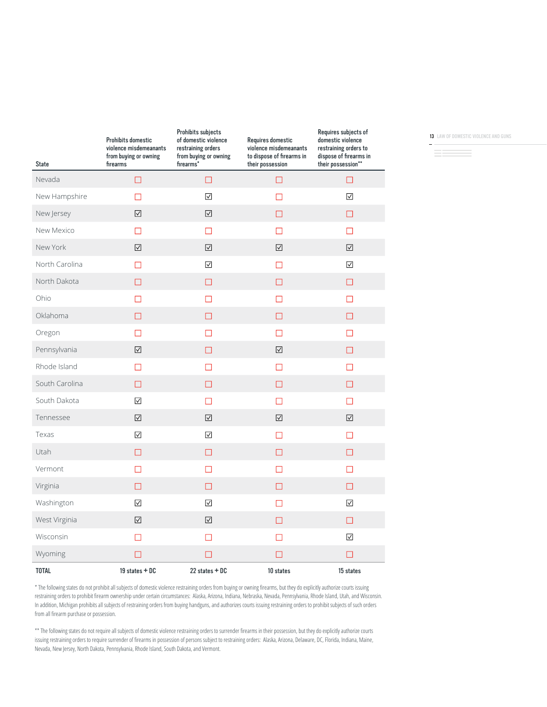| <b>State</b>   | <b>Prohibits domestic</b><br>violence misdemeanants<br>from buying or owning<br>firearms | <b>Prohibits subjects</b><br>of domestic violence<br>restraining orders<br>from buying or owning<br>firearms <sup>*</sup> | Requires domestic<br>violence misdemeanants<br>to dispose of firearms in<br>their possession | Requires subjects of<br>domestic violence<br>restraining orders to<br>dispose of firearms in<br>their possession** |
|----------------|------------------------------------------------------------------------------------------|---------------------------------------------------------------------------------------------------------------------------|----------------------------------------------------------------------------------------------|--------------------------------------------------------------------------------------------------------------------|
| Nevada         | $\Box$                                                                                   | $\Box$                                                                                                                    | $\Box$                                                                                       | $\Box$                                                                                                             |
| New Hampshire  | П                                                                                        | $\boxed{\vee}$                                                                                                            | П                                                                                            | ☑                                                                                                                  |
| New Jersey     | ☑                                                                                        | $\boxed{\vee}$                                                                                                            | $\Box$                                                                                       | $\Box$                                                                                                             |
| New Mexico     | П                                                                                        | П                                                                                                                         | П                                                                                            | ◘                                                                                                                  |
| New York       | $\boxed{\vee}$                                                                           | $\boxed{\vee}$                                                                                                            | $\overline{\vee}$                                                                            | $\boxed{\vee}$                                                                                                     |
| North Carolina | П                                                                                        | ☑                                                                                                                         | П                                                                                            | ☑                                                                                                                  |
| North Dakota   | $\Box$                                                                                   | $\Box$                                                                                                                    | $\Box$                                                                                       | П                                                                                                                  |
| Ohio           | $\Box$                                                                                   | $\Box$                                                                                                                    | П                                                                                            | П                                                                                                                  |
| Oklahoma       | $\Box$                                                                                   | $\Box$                                                                                                                    | $\Box$                                                                                       | $\Box$                                                                                                             |
| Oregon         | □                                                                                        | $\Box$                                                                                                                    | П                                                                                            | □                                                                                                                  |
| Pennsylvania   | $\boxed{\vee}$                                                                           | П                                                                                                                         | $\sqrt{}$                                                                                    | П                                                                                                                  |
| Rhode Island   | П                                                                                        | П                                                                                                                         | $\Box$                                                                                       | П                                                                                                                  |
| South Carolina | □                                                                                        | $\Box$                                                                                                                    | $\Box$                                                                                       | □                                                                                                                  |
| South Dakota   | $\boxtimes$                                                                              | $\Box$                                                                                                                    | П                                                                                            | П                                                                                                                  |
| Tennessee      | $\boxed{\vee}$                                                                           | $\boxed{\vee}$                                                                                                            | $\boxed{\vee}$                                                                               | $\boxed{\vee}$                                                                                                     |
| Texas          | ☑                                                                                        | $\boxed{\vee}$                                                                                                            | П                                                                                            | П                                                                                                                  |
| <b>Utah</b>    | □                                                                                        | $\Box$                                                                                                                    | П                                                                                            | □                                                                                                                  |
| Vermont        | $\Box$                                                                                   | $\Box$                                                                                                                    | П                                                                                            | □                                                                                                                  |
| Virginia       | $\Box$                                                                                   | $\Box$                                                                                                                    | $\Box$                                                                                       | П                                                                                                                  |
| Washington     | $\boxtimes$                                                                              | $\overline{\vee}$                                                                                                         | П                                                                                            | $\boxtimes$                                                                                                        |
| West Virginia  | $\boxed{\vee}$                                                                           | $\boxed{\vee}$                                                                                                            | $\Box$                                                                                       | □                                                                                                                  |
| Wisconsin      | $\Box$                                                                                   | $\Box$                                                                                                                    | П                                                                                            | ☑                                                                                                                  |
| Wyoming        | □                                                                                        | □                                                                                                                         | П                                                                                            | П                                                                                                                  |
| <b>TOTAL</b>   | 19 states + DC                                                                           | 22 states + DC                                                                                                            | 10 states                                                                                    | 15 states                                                                                                          |

13 LAW OF DOMESTIC VIOLENCE AND GUNS

\* The following states do not prohibit all subjects of domestic violence restraining orders from buying or owning firearms, but they do explicitly authorize courts issuing restraining orders to prohibit firearm ownership under certain circumstances: Alaska, Arizona, Indiana, Nebraska, Nevada, Pennsylvania, Rhode Island, Utah, and Wisconsin. In addition, Michigan prohibits all subjects of restraining orders from buying handguns, and authorizes courts issuing restraining orders to prohibit subjects of such orders from all firearm purchase or possession.

\*\* The following states do not require all subjects of domestic violence restraining orders to surrender firearms in their possession, but they do explicitly authorize courts issuing restraining orders to require surrender of firearms in possession of persons subject to restraining orders: Alaska, Arizona, Delaware, DC, Florida, Indiana, Maine, Nevada, New Jersey, North Dakota, Pennsylvania, Rhode Island, South Dakota, and Vermont.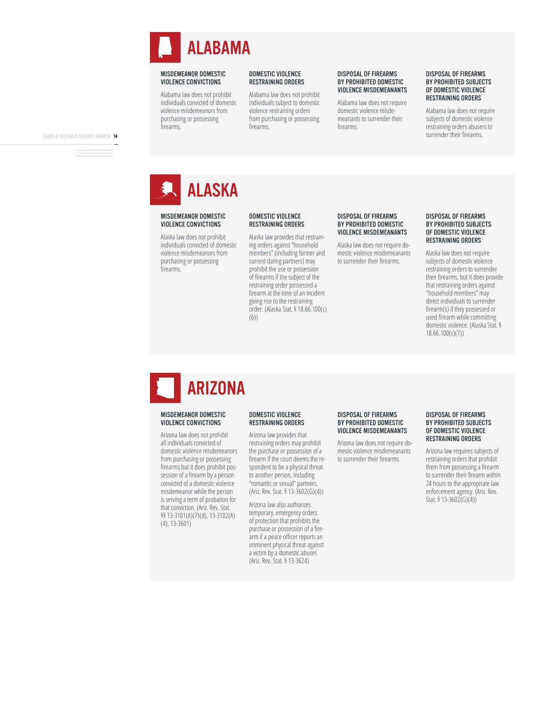

Alabama law does not prohibit individuals convicted of domestic violence misdemeanors from purchasing or possessing firearms.

#### DOMESTIC VIOLENCE RESTRAINING ORDERS

Alabama law does not prohibit individuals subject to domestic violence restraining orders from purchasing or possessing firearms

#### DISPOSAL OF FIREARMS BY PROHIBITED DOMESTIC VIOLENCE MISDEMEANANTS

Alabama law does not require domestic violence misdemeanants to surrender their firearms

#### DISPOSAL OF FIREARMS BY PROHIBITED SUBJECTS OF DOMESTIC VIOLENCE RESTRAINING ORDERS

Alabama law does not require subjects of domestic violence restraining orders abusers to surrender their firearms.

GUNS & VIOLENCE AGAINST WOMEN 14

### ALASKA

#### MISDEMEANOR DOMESTIC VIOLENCE CONVICTIONS

Alaska law does not prohibit individuals convicted of domestic violence misdemeanors from purchasing or possessing firearms.

#### DOMESTIC VIOLENCE RESTRAINING ORDERS

Alaska law provides that restraining orders against "household members" (including former and current dating partners) may prohibit the use or possession of firearms if the subject of the restraining order possessed a firearm at the time of an incident giving rise to the restraining order. (Alaska Stat. § 18.66.100(c)  $(6)$ 

#### DISPOSAL OF FIREARMS BY PROHIBITED DOMESTIC VIOLENCE MISDEMEANANTS

Alaska law does not require domestic violence misdemeanants to surrender their firearms.

#### DISPOSAL OF FIREARMS BY PROHIBITED SUBJECTS OF DOMESTIC VIOLENCE RESTRAINING ORDERS

Alaska law does not require subjects of domestic violence restraining orders to surrender their firearms, but it does provide that restraining orders against "household members" may direct individuals to surrender firearm(s) if they possessed or used firearm while committing domestic violence. (Alaska Stat. §  $18.66.100(c)(7))$ 

# ARIZONA

#### MISDEMEANOR DOMESTIC VIOLENCE CONVICTIONS

Arizona law does not prohibit all individuals convicted of domestic violence misdemeanors from purchasing or possessing firearms but it does prohibit possession of a firearm by a person convicted of a domestic violence misdemeanor while the person is serving a term of probation for that conviction. (Ariz. Rev. Stat. §§ 13-3101(A)(7)(d), 13-3102(A)  $(4)$ , 13-3601)

#### DOMESTIC VIOLENCE RESTRAINING ORDERS

Arizona law provides that restraining orders may prohibit the purchase or possession of a firearm if the court deems the respondent to be a physical threat to another person, including "romantic or sexual" partners.  $(Ariz. Rev. Stat. § 13-3602(G)(4))$ 

Arizona law also authorizes temporary, emergency orders of protection that prohibits the purchase or possession of a firearm if a peace officer reports an imminent physical threat against a victim by a domestic abuser. (Ariz. Rev. Stat. § 13-3624)

#### DISPOSAL OF FIREARMS BY PROHIBITED DOMESTIC VIOLENCE MISDEMEANANTS

Arizona law does not require domestic violence misdemeanants to surrender their firearms.

#### DISPOSAL OF FIREARMS BY PROHIBITED SUBJECTS OF DOMESTIC VIOLENCE RESTRAINING ORDERS

Arizona law requires subjects of restraining orders that prohibit them from possessing a firearm to surrender their firearm within 24 hours to the appropriate law enforcement agency. (Ariz. Rev. Stat. § 13-3602(G)(4))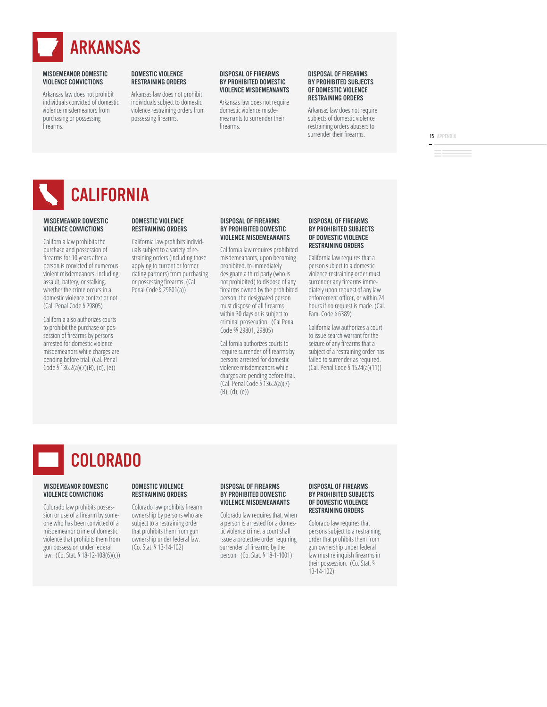

Arkansas law does not prohibit individuals convicted of domestic violence misdemeanors from purchasing or possessing firearms.

#### DOMESTIC VIOLENCE RESTRAINING ORDERS

Arkansas law does not prohibit individuals subject to domestic violence restraining orders from possessing firearms.

#### DISPOSAL OF FIREARMS BY PROHIBITED DOMESTIC VIOLENCE MISDEMEANANTS

Arkansas law does not require domestic violence misdemeanants to surrender their firearms

#### DISPOSAL OF FIREARMS BY PROHIBITED SUBJECTS OF DOMESTIC VIOLENCE RESTRAINING ORDERS

Arkansas law does not require subjects of domestic violence restraining orders abusers to surrender their firearms.

15 APPENDIX

**CALIFORNIA** 

#### MISDEMEANOR DOMESTIC VIOLENCE CONVICTIONS DOMESTIC VIOLENCE RESTRAINING ORDERS

California law prohibits the purchase and possession of firearms for 10 years after a person is convicted of numerous violent misdemeanors, including assault, battery, or stalking, whether the crime occurs in a domestic violence context or not. (Cal. Penal Code § 29805) California law prohibits individuals subject to a variety of restraining orders (including those applying to current or former dating partners) from purchasing or possessing firearms. (Cal. Penal Code  $\frac{5}{2}$  29801(a))

California also authorizes courts to prohibit the purchase or possession of firearms by persons arrested for domestic violence misdemeanors while charges are pending before trial. (Cal. Penal  $\text{Code }$ § 136.2(a)(7)(B), (d), (e))

#### DISPOSAL OF FIREARMS BY PROHIBITED DOMESTIC VIOLENCE MISDEMEANANTS

California law requires prohibited misdemeanants, upon becoming prohibited, to immediately designate a third party (who is not prohibited) to dispose of any firearms owned by the prohibited person; the designated person must dispose of all firearms within 30 days or is subject to criminal prosecution. (Cal Penal Code §§ 29801, 29805)

California authorizes courts to require surrender of firearms by persons arrested for domestic violence misdemeanors while charges are pending before trial.  $(Cal. Penal Code § 136.2(a)(7)$  $(B), (d), (e)$ 

#### DISPOSAL OF FIREARMS BY PROHIBITED SUBJECTS OF DOMESTIC VIOLENCE RESTRAINING ORDERS

California law requires that a person subject to a domestic violence restraining order must surrender any firearms immediately upon request of any law enforcement officer, or within 24 hours if no request is made. (Cal. Fam. Code  $§$  6389)

California law authorizes a court to issue search warrant for the seizure of any firearms that a subject of a restraining order has failed to surrender as required.  $(Cal. Penal Code § 1524(a)(11))$ 

### COLORADO

#### MISDEMEANOR DOMESTIC VIOLENCE CONVICTIONS

Colorado law prohibits possession or use of a firearm by someone who has been convicted of a misdemeanor crime of domestic violence that prohibits them from gun possession under federal  $\bar{a}$ w. (Co. Stat. § 18-12-108(6)(c))

#### DOMESTIC VIOLENCE RESTRAINING ORDERS

Colorado law prohibits firearm ownership by persons who are subject to a restraining order that prohibits them from gun ownership under federal law. (Co. Stat. § 13-14-102)

#### DISPOSAL OF FIREARMS BY PROHIBITED DOMESTIC VIOLENCE MISDEMEANANTS

Colorado law requires that, when a person is arrested for a domestic violence crime, a court shall issue a protective order requiring surrender of firearms by the person. (Co. Stat. § 18-1-1001)

#### DISPOSAL OF FIREARMS BY PROHIBITED SUBJECTS OF DOMESTIC VIOLENCE RESTRAINING ORDERS

Colorado law requires that persons subject to a restraining order that prohibits them from gun ownership under federal law must relinquish firearms in their possession. (Co. Stat. §  $13 - 14 - 102$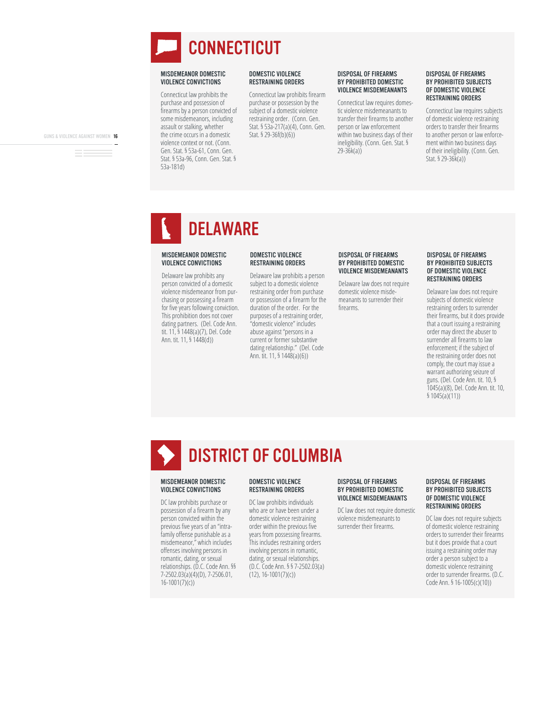

Connecticut law prohibits the purchase and possession of firearms by a person convicted of some misdemeanors, including assault or stalking, whether the crime occurs in a domestic yiolence context or not. (Conn. Gen. Stat. § 53a-61, Conn. Gen. Stat. § 53a-96, Conn. Gen. Stat. §  $53a-181d)$ 

#### DOMESTIC VIOLENCE RESTRAINING ORDERS

Connecticut law prohibits firearm purchase or possession by the subject of a domestic violence restraining order. (Conn. Gen. Stat. § 53a-217(a)(4), Conn. Gen. Stat. § 29-36f(b)(6))

#### DISPOSAL OF FIREARMS BY PROHIBITED DOMESTIC VIOLENCE MISDEMEANANTS

Connecticut law requires domestic violence misdemeanants to transfer their firearms to another person or law enforcement within two business days of their ineligibility. (Conn. Gen. Stat. §  $29 - 36k(a)$ 

#### DISPOSAL OF FIREARMS BY PROHIBITED SUBJECTS OF DOMESTIC VIOLENCE RESTRAINING ORDERS

Connecticut law requires subjects of domestic violence restraining orders to transfer their firearms to another person or law enforcement within two business days of their ineligibility. (Conn. Gen. Stat. § 29-36 $k$ (a))

### DELAWARE

#### MISDEMEANOR DOMESTIC VIOLENCE CONVICTIONS

Delaware law prohibits any person convicted of a domestic violence misdemeanor from purchasing or possessing a firearm for five years following conviction. This prohibition does not cover dating partners. (Del. Code Ann. tit. 11, § 1448(a)(7), Del. Code Ann. tit. 11, §  $1448(d)$ )

#### DOMESTIC VIOLENCE RESTRAINING ORDERS

Delaware law prohibits a person subject to a domestic violence restraining order from purchase or possession of a firearm for the duration of the order. For the purposes of a restraining order, whomestic violence" includes abuse against "persons in a current or former substantive dating relationship." (Del. Code Ann. tit. 11, §  $1448(a)(6)$ )

#### DISPOSAL OF FIREARMS BY PROHIBITED DOMESTIC VIOLENCE MISDEMEANANTS

Delaware law does not require domestic violence misdemeanants to surrender their firearms

#### DISPOSAL OF FIREARMS BY PROHIBITED SUBJECTS OF DOMESTIC VIOLENCE RESTRAINING ORDERS

Delaware law does not require subjects of domestic violence restraining orders to surrender their firearms, but it does provide that a court issuing a restraining order may direct the abuser to surrender all firearms to law enforcement; if the subject of the restraining order does not comply, the court may issue a warrant authorizing seizure of guns. (Del. Code Ann. tit. 10. § 1045(a)(8), Del. Code Ann. tit. 10,  $$1045(a)(11))$ 

# DISTRICT OF COLUMBIA

#### MISDEMEANOR DOMESTIC VIOLENCE CONVICTIONS

DC law prohibits purchase or possession of a firearm by any person convicted within the previous five years of an "intrafamily offense punishable as a misdemeanor," which includes offenses involving persons in romantic, dating, or sexual relationships. (D.C. Code Ann. §§  $7-2502.03(a)(4)(D)$ , 7-2506.01,  $16-1001(7)(c)$ 

#### DOMESTIC VIOLENCE RESTRAINING ORDERS

DC law prohibits individuals who are or have been under a domestic violence restraining order within the previous five years from possessing firearms. This includes restraining orders involving persons in romantic, dating, or sexual relationships. (D.C. Code Ann. § § 7-2502.03(a)  $(12)$ , 16-1001(7)(c))

#### DISPOSAL OF FIREARMS BY PROHIBITED DOMESTIC VIOLENCE MISDEMEANANTS

DC law does not require domestic violence misdemeanants to surrender their firearms

#### DISPOSAL OF FIREARMS BY PROHIBITED SUBJECTS OF DOMESTIC VIOLENCE RESTRAINING ORDERS

DC law does not require subjects of domestic violence restraining orders to surrender their firearms but it does provide that a court issuing a restraining order may order a person subject to a domestic violence restraining order to surrender firearms. (D.C. Code Ann. § 16-1005(c)(10))

GUNS & VIOLENCE AGAINST WOMEN 16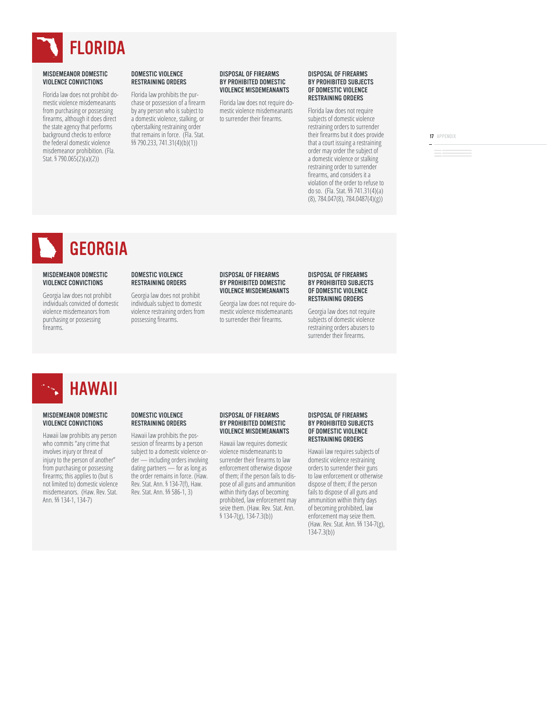

Florida law does not prohibit domestic violence misdemeanants from purchasing or possessing firearms, although it does direct the state agency that performs background checks to enforce the federal domestic violence misdemeanor prohibition. (Fla. Stat. § 790.065(2)(a)(2))

#### DOMESTIC VIOLENCE RESTRAINING ORDERS

Florida law prohibits the purchase or possession of a firearm by any person who is subject to a domestic violence, stalking, or cyberstalking restraining order that remains in force. (Fla. Stat. §§ 790.233, 741.31(4)(b)(1))

#### DISPOSAL OF FIREARMS BY PROHIBITED DOMESTIC VIOLENCE MISDEMEANANTS

Florida law does not require domestic violence misdemeanants to surrender their firearms.

#### DISPOSAL OF FIREARMS BY PROHIBITED SUBJECTS OF DOMESTIC VIOLENCE RESTRAINING ORDERS

Florida law does not require subjects of domestic violence restraining orders to surrender their firearms but it does provide that a court issuing a restraining order may order the subject of a domestic violence or stalking restraining order to surrender firearms, and considers it a violation of the order to refuse to do so. (Fla. Stat. §§ 741.31(4)(a)  $(8)$ , 784.047 $(8)$ , 784.0487 $(4)(g)$ )

17 APPENDIX

**GEORGIA** 

#### MISDEMEANOR DOMESTIC VIOLENCE CONVICTIONS

Georgia law does not prohibit individuals convicted of domestic violence misdemeanors from purchasing or possessing firearms

#### DOMESTIC VIOLENCE RESTRAINING ORDERS

Georgia law does not prohibit individuals subject to domestic violence restraining orders from possessing firearms.

#### DISPOSAL OF FIREARMS BY PROHIBITED DOMESTIC VIOLENCE MISDEMEANANTS

Georgia law does not require domestic violence misdemeanants to surrender their firearms

#### DISPOSAL OF FIREARMS BY PROHIBITED SUBJECTS OF DOMESTIC VIOLENCE RESTRAINING ORDERS

Georgia law does not require subjects of domestic violence restraining orders abusers to surrender their firearms.

## HAWAII

#### MISDEMEANOR DOMESTIC VIOLENCE CONVICTIONS

Hawaii law prohibits any person who commits "any crime that involves injury or threat of injury to the person of another" from purchasing or possessing firearms; this applies to (but is not limited to) domestic violence misdemeanors. (Haw. Rev. Stat. Ann. §§ 134-1, 134-7)

#### DOMESTIC VIOLENCE RESTRAINING ORDERS

Hawaii law prohibits the possession of firearms by a person subject to a domestic violence order — including orders involving dating partners — for as long as the order remains in force. (Haw. Rev. Stat. Ann. § 134-7(f), Haw. Rev. Stat. Ann. §§ 586-1, 3)

#### DISPOSAL OF FIREARMS BY PROHIBITED DOMESTIC VIOLENCE MISDEMEANANTS

Hawaii law requires domestic violence misdemeanants to surrender their firearms to law enforcement otherwise dispose of them; if the person fails to dispose of all guns and ammunition within thirty days of becoming prohibited, law enforcement may seize them. (Haw. Rev. Stat. Ann.  $$134-7(g), 134-7.3(b))$ 

#### DISPOSAL OF FIREARMS BY PROHIBITED SUBJECTS OF DOMESTIC VIOLENCE RESTRAINING ORDERS

Hawaii law requires subjects of domestic violence restraining orders to surrender their guns to law enforcement or otherwise dispose of them; if the person fails to dispose of all guns and ammunition within thirty days of becoming prohibited, law enforcement may seize them. (Haw. Rev. Stat. Ann. §§ 134-7(g),  $134 - 7.3(b)$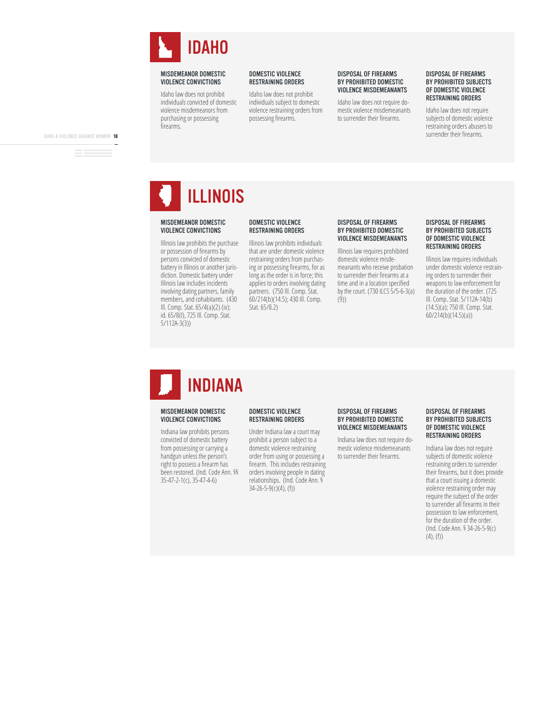

Idaho law does not prohibit individuals convicted of domestic violence misdemeanors from purchasing or possessing firearms.

#### DOMESTIC VIOLENCE RESTRAINING ORDERS

Idaho law does not prohibit individuals subject to domestic violence restraining orders from possessing firearms.

#### DISPOSAL OF FIREARMS BY PROHIBITED DOMESTIC VIOLENCE MISDEMEANANTS

Idaho law does not require domestic violence misdemeanants to surrender their firearms.

#### DISPOSAL OF FIREARMS BY PROHIBITED SUBJECTS OF DOMESTIC VIOLENCE RESTRAINING ORDERS

Idaho law does not require subjects of domestic violence restraining orders abusers to surrender their firearms.

GUNS & VIOLENCE AGAINST WOMEN 18

ILLINOIS

#### MISDEMEANOR DOMESTIC VIOLENCE CONVICTIONS

Illinois law prohibits the purchase or possession of firearms by persons convicted of domestic battery in Illinois or another jurisdiction. Domestic battery under Illinois law includes incidents involving dating partners, family members, and cohabitants. (430 Ill. Comp. Stat. 65/4(a)(2) (ix); id. 65/8(l), 725 Ill. Comp. Stat.  $5/112A-3(3)$ 

#### DOMESTIC VIOLENCE RESTRAINING ORDERS

Illinois law prohibits individuals that are under domestic violence restraining orders from purchasing or possessing firearms, for as long as the order is in force; this applies to orders involving dating partners. (750 Ill. Comp. Stat. 60/214(b)(14.5); 430 III. Comp. Stat. 65/8.2)

#### DISPOSAL OF FIREARMS BY PROHIBITED DOMESTIC VIOLENCE MISDEMEANANTS

Illinois law requires prohibited domestic violence misdemeanants who receive probation to surrender their firearms at a time and in a location specified by the court. (730 ILCS  $5/5-6-3(a)$  $(9)$ 

#### DISPOSAL OF FIREARMS BY PROHIBITED SUBJECTS OF DOMESTIC VIOLENCE RESTRAINING ORDERS

Illinois law requires individuals under domestic violence restraining orders to surrender their weapons to law enforcement for the duration of the order. (725) Ill. Comp. Stat. 5/112A-14(b) (14.5)(a); 750 Ill. Comp. Stat.  $60/214(b)(14.5)(a))$ 

# INDIANA

#### MISDEMEANOR DOMESTIC VIOLENCE CONVICTIONS

Indiana law prohibits persons convicted of domestic battery from possessing or carrying a handgun unless the person's right to possess a firearm has been restored. (Ind. Code Ann. §§ 35-47-2-1(c), 35-47-4-6)

#### DOMESTIC VIOLENCE RESTRAINING ORDERS

Under Indiana law a court may prohibit a person subject to a domestic violence restraining order from using or possessing a firearm. This includes restraining orders involving people in dating relationships. (Ind. Code Ann. §  $34 - 26 - 5 - 9(c)(4)$ , (f))

#### DISPOSAL OF FIREARMS BY PROHIBITED DOMESTIC VIOLENCE MISDEMEANANTS

Indiana law does not require domestic violence misdemeanants to surrender their firearms

#### DISPOSAL OF FIREARMS BY PROHIBITED SUBJECTS OF DOMESTIC VIOLENCE RESTRAINING ORDERS

Indiana law does not require subjects of domestic violence restraining orders to surrender their firearms, but it does provide that a court issuing a domestic violence restraining order may require the subject of the order to surrender all firearms in their possession to law enforcement. for the duration of the order. (Ind. Code Ann. § 34-26-5-9(c)  $(4)$ ,  $(f)$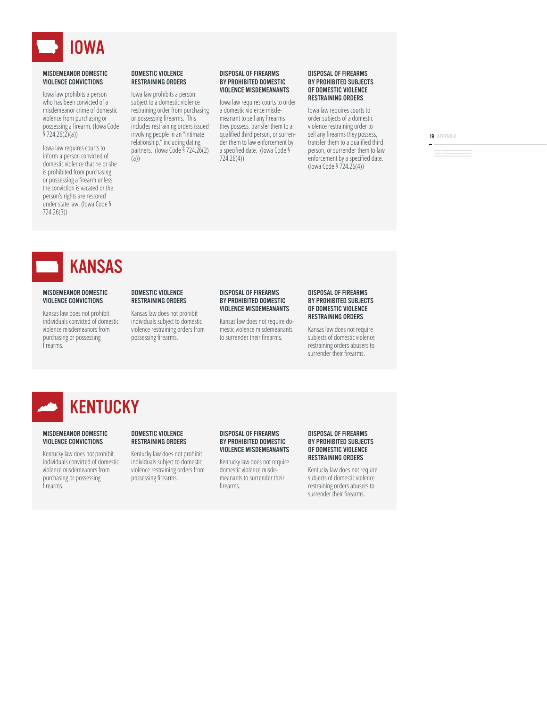

lowa law prohibits a person who has been convicted of a misdemeanor crime of domestic violence from purchasing or possessing a firearm. (Iowa Code  $$724.26(2)(a))$ 

lowa law requires courts to inform a person convicted of domestic violence that he or she is prohibited from purchasing or possessing a firearm unless the conviction is vacated or the person's rights are restored under state law. (Iowa Code §  $724.26(3)$ 

#### DOMESTIC VIOLENCE RESTRAINING ORDERS

lowa law prohibits a person subject to a domestic violence restraining order from purchasing or possessing firearms. This includes restraining orders issued involving people in an "intimate relationship," including dating partners. (lowa Code § 724.26(2)  $(a))$ 

#### DISPOSAL OF FIREARMS BY PROHIBITED DOMESTIC VIOLENCE MISDEMEANANTS

lowa law requires courts to order a domestic violence misdemeanant to sell any firearms they possess, transfer them to a qualified third person, or surrender them to law enforcement by a specified date. (lowa Code §  $724.26(4)$ 

#### DISPOSAL OF FIREARMS BY PROHIBITED SUBJECTS OF DOMESTIC VIOLENCE RESTRAINING ORDERS

lowa law requires courts to order subjects of a domestic violence restraining order to sell any firearms they possess, transfer them to a qualified third person, or surrender them to law enforcement by a specified date. (lowa Code § 724.26(4))

19 APPENDIX

## KANSAS

#### MISDEMEANOR DOMESTIC VIOLENCE CONVICTIONS

Kansas law does not prohibit individuals convicted of domestic violence misdemeanors from purchasing or possessing firearms.

#### DOMESTIC VIOLENCE RESTRAINING ORDERS

Kansas law does not prohibit individuals subject to domestic violence restraining orders from possessing firearms.

#### DISPOSAL OF FIREARMS BY PROHIBITED DOMESTIC VIOLENCE MISDEMEANANTS

Kansas law does not require domestic violence misdemeanants to surrender their firearms.

#### DISPOSAL OF FIREARMS BY PROHIBITED SUBJECTS OF DOMESTIC VIOLENCE RESTRAINING ORDERS

Kansas law does not require subjects of domestic violence restraining orders abusers to surrender their firearms.



#### MISDEMEANOR DOMESTIC VIOLENCE CONVICTIONS

Kentucky law does not prohibit individuals convicted of domestic violence misdemeanors from purchasing or possessing firearms

#### DOMESTIC VIOLENCE RESTRAINING ORDERS

Kentucky law does not prohibit individuals subject to domestic violence restraining orders from possessing firearms.

#### DISPOSAL OF FIREARMS BY PROHIBITED DOMESTIC VIOLENCE MISDEMEANANTS

Kentucky law does not require domestic violence misdemeanants to surrender their firearms

#### DISPOSAL OF FIREARMS BY PROHIBITED SUBJECTS OF DOMESTIC VIOLENCE RESTRAINING ORDERS

Kentucky law does not require subjects of domestic violence restraining orders abusers to surrender their firearms.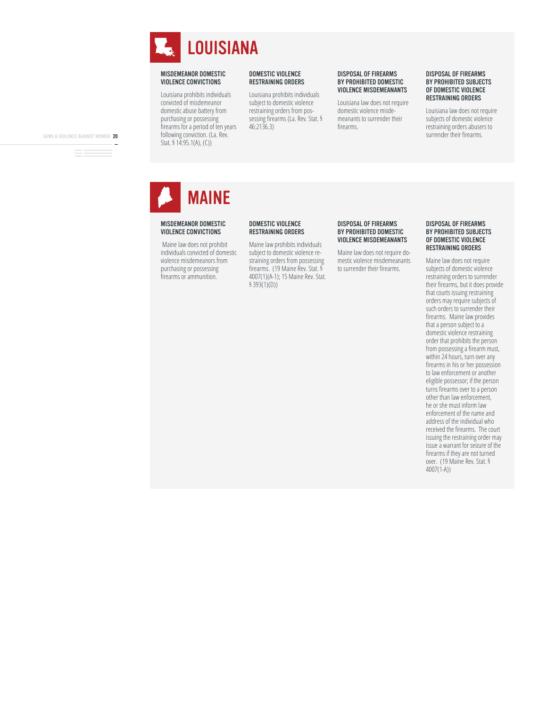

Louisiana prohibits individuals convicted of misdemeanor domestic abuse battery from purchasing or possessing firearms for a period of ten years following conviction. (La. Rev. Stat.  $\frac{5}{14:95.1(A)}$ , (C))

#### DOMESTIC VIOLENCE RESTRAINING ORDERS

Louisiana prohibits individuals subject to domestic violence restraining orders from possessing firearms (La. Rev. Stat. §  $46:2136.3$ 

#### DISPOSAL OF FIREARMS BY PROHIBITED DOMESTIC VIOLENCE MISDEMEANANTS

Louisiana law does not require domestic violence misdemeanants to surrender their firearms

#### DISPOSAL OF FIREARMS BY PROHIBITED SUBJECTS OF DOMESTIC VIOLENCE RESTRAINING ORDERS

Louisiana law does not require subjects of domestic violence restraining orders abusers to surrender their firearms.

GUNS & VIOLENCE AGAINST WOMEN 20

MAINE

#### MISDEMEANOR DOMESTIC VIOLENCE CONVICTIONS

Maine law does not prohibit individuals convicted of domestic violence misdemeanors from purchasing or possessing firearms or ammunition.

#### DOMESTIC VIOLENCE RESTRAINING ORDERS

Maine law prohibits individuals subject to domestic violence restraining orders from possessing firearms. (19 Maine Rev. Stat. § 4007(1)(A-1); 15 Maine Rev. Stat.  $$393(1)(D))$ 

#### DISPOSAL OF FIREARMS BY PROHIBITED DOMESTIC VIOLENCE MISDEMEANANTS

Maine law does not require domestic violence misdemeanants to surrender their firearms.

#### DISPOSAL OF FIREARMS BY PROHIBITED SUBJECTS OF DOMESTIC VIOLENCE RESTRAINING ORDERS

Maine law does not require subjects of domestic violence restraining orders to surrender their firearms, but it does provide that courts issuing restraining orders may require subjects of such orders to surrender their firearms. Maine law provides that a person subject to a domestic violence restraining order that prohibits the person from possessing a firearm must, within 24 hours, turn over any firearms in his or her possession to law enforcement or another eligible possessor; if the person turns firearms over to a person other than law enforcement, he or she must inform law enforcement of the name and address of the individual who received the firearms. The court issuing the restraining order may issue a warrant for seizure of the firearms if they are not turned over. (19 Maine Rev. Stat. §  $4007(1-A)$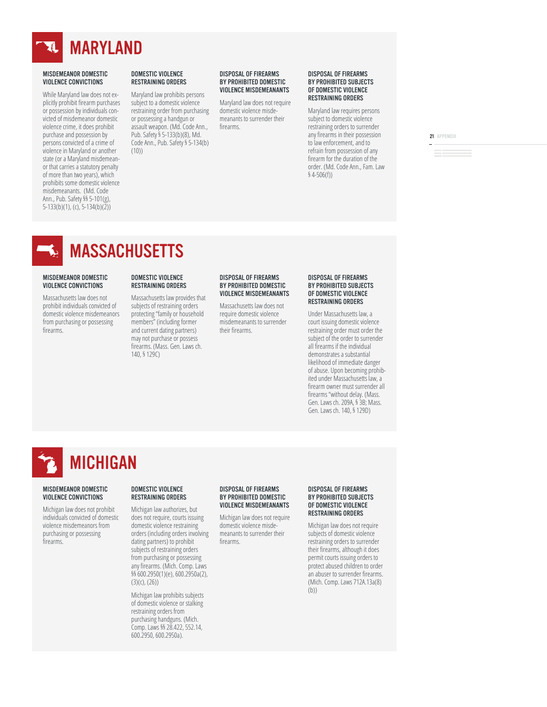

While Maryland law does not explicitly prohibit firearm purchases or possession by individuals convicted of misdemeanor domestic violence crime, it does prohibit purchase and possession by persons convicted of a crime of violence in Maryland or another state (or a Maryland misdemeanor that carries a statutory penalty of more than two years), which prohibits some domestic violence misdemeanants. (Md. Code Ann., Pub. Safety §§ 5-101(g),  $5-133(b)(1)$ , (c),  $5-134(b)(2)$ 

#### DOMESTIC VIOLENCE RESTRAINING ORDERS

Maryland law prohibits persons subject to a domestic violence restraining order from purchasing or possessing a handgun or assault weapon. (Md. Code Ann., Pub. Safety § 5-133(b)(8), Md. Code Ann., Pub. Safety § 5-134(b)  $(10)$ 

#### DISPOSAL OF FIREARMS BY PROHIBITED DOMESTIC VIOLENCE MISDEMEANANTS

Maryland law does not require domestic violence misdemeanants to surrender their firearms

#### DISPOSAL OF FIREARMS BY PROHIBITED SUBJECTS OF DOMESTIC VIOLENCE RESTRAINING ORDERS

Maryland law requires persons subject to domestic violence restraining orders to surrender any firearms in their possession to law enforcement, and to refrain from possession of any firearm for the duration of the order. (Md. Code Ann., Fam. Law  $$4-506(f)]$ 

21 APPENDIX

### **MASSACHUSETTS**

#### MISDEMEANOR DOMESTIC VIOLENCE CONVICTIONS

Massachusetts law does not prohibit individuals convicted of domestic violence misdemeanors from purchasing or possessing firearms.

#### DOMESTIC VIOLENCE RESTRAINING ORDERS

Massachusetts law provides that subjects of restraining orders protecting "family or household members" (including former and current dating partners) may not purchase or possess firearms. (Mass. Gen. Laws ch. 140, § 129C)

#### DISPOSAL OF FIREARMS BY PROHIBITED DOMESTIC VIOLENCE MISDEMEANANTS

Massachusetts law does not require domestic violence misdemeanants to surrender their firearms

#### DISPOSAL OF FIREARMS BY PROHIBITED SUBJECTS OF DOMESTIC VIOLENCE RESTRAINING ORDERS

Under Massachusetts law, a court issuing domestic violence restraining order must order the subject of the order to surrender all firearms if the individual demonstrates a substantial likelihood of immediate danger of abuse. Upon becoming prohibited under Massachusetts law, a firearm owner must surrender all firearms "without delay. (Mass. Gen. Laws ch. 209A, § 3B; Mass. Gen. Laws ch. 140. § 129D)

# MICHIGAN

#### MISDEMEANOR DOMESTIC VIOLENCE CONVICTIONS

Michigan law does not prohibit individuals convicted of domestic violence misdemeanors from purchasing or possessing firearms.

#### DOMESTIC VIOLENCE RESTRAINING ORDERS

Michigan law authorizes, but does not require, courts issuing domestic violence restraining orders (including orders involving dating partners) to prohibit subjects of restraining orders from purchasing or possessing any firearms. (Mich. Comp. Laws §§ 600.2950(1)(e), 600.2950a(2),  $(3)(c)$ ,  $(26)$ 

Michigan law prohibits subjects of domestic violence or stalking restraining orders from purchasing handguns. (Mich. Comp. Laws §§ 28.422, 552.14. 600.2950, 600.2950a).

#### DISPOSAL OF FIREARMS BY PROHIBITED DOMESTIC VIOLENCE MISDEMEANANTS

Michigan law does not require domestic violence misdemeanants to surrender their firearms

#### DISPOSAL OF FIREARMS BY PROHIBITED SUBJECTS OF DOMESTIC VIOLENCE RESTRAINING ORDERS

Michigan law does not require subjects of domestic violence restraining orders to surrender their firearms, although it does permit courts issuing orders to protect abused children to order an abuser to surrender firearms. (Mich. Comp. Laws 712A.13a(8)  $(b)$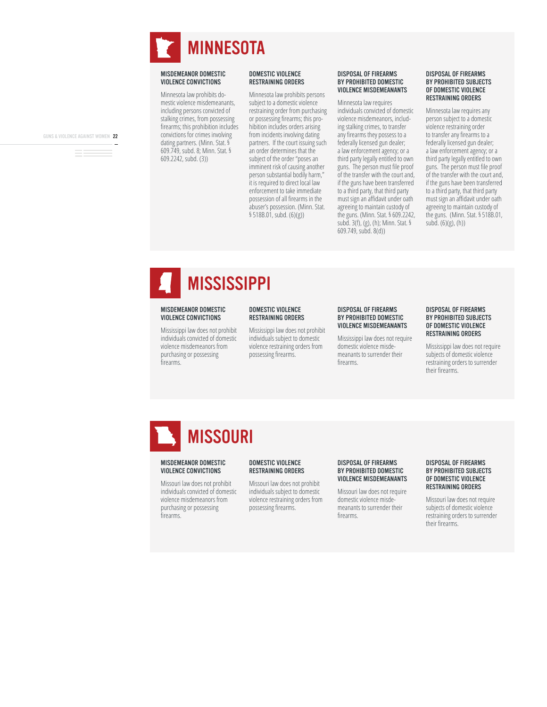

Minnesota law prohibits domestic violence misdemeanants, including persons convicted of stalking crimes, from possessing firearms; this prohibition includes convictions for crimes involving dating partners. (Minn. Stat. § 609.749, subd. 8; Minn. Stat. § 609.2242, subd. (3))

#### DOMESTIC VIOLENCE RESTRAINING ORDERS

Minnesota law prohibits persons subject to a domestic violence restraining order from purchasing or possessing firearms; this prohibition includes orders arising from incidents involving dating partners. If the court issuing such an order determines that the subject of the order "poses an imminent risk of causing another person substantial bodily harm," it is required to direct local law enforcement to take immediate possession of all firearms in the abuser's possession. (Minn. Stat.  $$518B.01$ , subd.  $(6)(g)$ )

#### DISPOSAL OF FIREARMS BY PROHIBITED DOMESTIC VIOLENCE MISDEMEANANTS

Minnesota law requires individuals convicted of domestic violence misdemeanors, including stalking crimes, to transfer any firearms they possess to a federally licensed gun dealer; a law enforcement agency; or a third party legally entitled to own guns. The person must file proof of the transfer with the court and, if the guns have been transferred to a third party, that third party must sign an affidavit under oath agreeing to maintain custody of the guns. (Minn. Stat. § 609.2242, subd.  $3(f)$ , (g), (h); Minn. Stat. §  $609.749$ , subd.  $8(d)$ )

#### DISPOSAL OF FIREARMS BY PROHIBITED SUBJECTS OF DOMESTIC VIOLENCE RESTRAINING ORDERS

Minnesota law requires any person subject to a domestic violence restraining order to transfer any firearms to a federally licensed gun dealer; a law enforcement agency; or a third party legally entitled to own guns. The person must file proof of the transfer with the court and, if the guns have been transferred to a third party, that third party must sign an affidavit under oath agreeing to maintain custody of the guns. (Minn. Stat.  $$518B.01$ , subd.  $(6)(g)$ ,  $(h)$ )

# **MISSISSIPPI**

#### MISDEMEANOR DOMESTIC VIOLENCE CONVICTIONS

Mississippi law does not prohibit individuals convicted of domestic violence misdemeanors from purchasing or possessing firearms.

#### DOMESTIC VIOLENCE RESTRAINING ORDERS

Mississippi law does not prohibit individuals subject to domestic violence restraining orders from possessing firearms.

#### DISPOSAL OF FIREARMS BY PROHIBITED DOMESTIC VIOLENCE MISDEMEANANTS

Mississippi law does not require domestic violence misdemeanants to surrender their firearms

#### DISPOSAL OF FIREARMS BY PROHIBITED SUBJECTS OF DOMESTIC VIOLENCE RESTRAINING ORDERS

Mississippi law does not require subjects of domestic violence restraining orders to surrender their firearms.

# **MISSOURI**

#### MISDEMEANOR DOMESTIC VIOLENCE CONVICTIONS

Missouri law does not prohibit individuals convicted of domestic violence misdemeanors from purchasing or possessing firearms.

#### DOMESTIC VIOLENCE RESTRAINING ORDERS

Missouri law does not prohibit individuals subject to domestic violence restraining orders from possessing firearms.

#### DISPOSAL OF FIREARMS BY PROHIBITED DOMESTIC VIOLENCE MISDEMEANANTS

Missouri law does not require domestic violence misdemeanants to surrender their firearms.

#### DISPOSAL OF FIREARMS BY PROHIBITED SUBJECTS OF DOMESTIC VIOLENCE RESTRAINING ORDERS

Missouri law does not require subjects of domestic violence restraining orders to surrender their firearms.

GUNS & VIOLENCE AGAINST WOMEN 22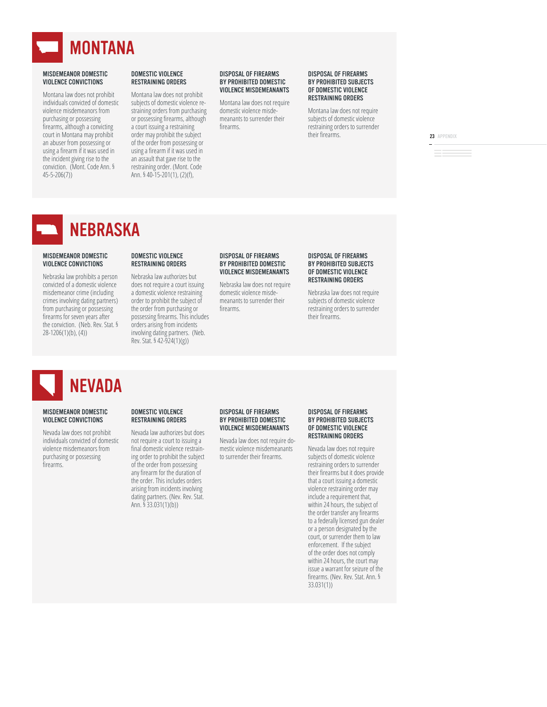

Montana law does not prohibit individuals convicted of domestic violence misdemeanors from purchasing or possessing firearms, although a convicting court in Montana may prohibit an abuser from possessing or using a firearm if it was used in the incident giving rise to the conviction. (Mont. Code Ann. §  $45 - 5 - 206(7)$ 

#### DOMESTIC VIOLENCE RESTRAINING ORDERS

Montana law does not prohibit subjects of domestic violence restraining orders from purchasing or possessing firearms, although a court issuing a restraining order may prohibit the subject of the order from possessing or using a firearm if it was used in an assault that gave rise to the restraining order. (Mont. Code Ann. § 40-15-201(1), (2)(f),

#### DISPOSAL OF FIREARMS BY PROHIBITED DOMESTIC VIOLENCE MISDEMEANANTS

Montana law does not require domestic violence misdemeanants to surrender their firearms

#### DISPOSAL OF FIREARMS BY PROHIBITED SUBJECTS OF DOMESTIC VIOLENCE RESTRAINING ORDERS

Montana law does not require subjects of domestic violence restraining orders to surrender their firearms.

23 APPENDIX

### NEBRASKA

#### MISDEMEANOR DOMESTIC VIOLENCE CONVICTIONS

Nebraska law prohibits a person convicted of a domestic violence misdemeanor crime (including crimes involving dating partners) from purchasing or possessing firearms for seven years after the conviction. (Neb. Rev. Stat. §  $28-1206(1)(b)$ , (4))

#### DOMESTIC VIOLENCE RESTRAINING ORDERS

Nebraska law authorizes but does not require a court issuing a domestic violence restraining order to prohibit the subject of the order from purchasing or possessing firearms. This includes orders arising from incidents involving dating partners. (Neb. Rev. Stat. § 42-924(1)(g))

#### DISPOSAL OF FIREARMS BY PROHIBITED DOMESTIC VIOLENCE MISDEMEANANTS

Nebraska law does not require domestic violence misdemeanants to surrender their firearms

#### DISPOSAL OF FIREARMS BY PROHIBITED SUBJECTS OF DOMESTIC VIOLENCE RESTRAINING ORDERS

Nebraska law does not require subjects of domestic violence restraining orders to surrender their firearms

# NEVADA

#### MISDEMEANOR DOMESTIC VIOLENCE CONVICTIONS

Nevada law does not prohibit individuals convicted of domestic violence misdemeanors from purchasing or possessing firearms.

#### DOMESTIC VIOLENCE RESTRAINING ORDERS

Nevada law authorizes but does not require a court to issuing a final domestic violence restraining order to prohibit the subject of the order from possessing any firearm for the duration of the order. This includes orders arising from incidents involving dating partners. (Nev. Rev. Stat. Ann.  $\frac{5}{3}$ 33.031(1)(b))

#### DISPOSAL OF FIREARMS BY PROHIBITED DOMESTIC VIOLENCE MISDEMEANANTS

Nevada law does not require domestic violence misdemeanants to surrender their firearms.

#### DISPOSAL OF FIREARMS BY PROHIBITED SUBJECTS OF DOMESTIC VIOLENCE RESTRAINING ORDERS

Nevada law does not require subjects of domestic violence restraining orders to surrender their firearms but it does provide that a court issuing a domestic violence restraining order may include a requirement that, within 24 hours, the subject of the order transfer any firearms to a federally licensed gun dealer or a person designated by the court, or surrender them to law enforcement. If the subject of the order does not comply within 24 hours, the court may issue a warrant for seizure of the firearms. (Nev. Rev. Stat. Ann. §  $33.031(1)$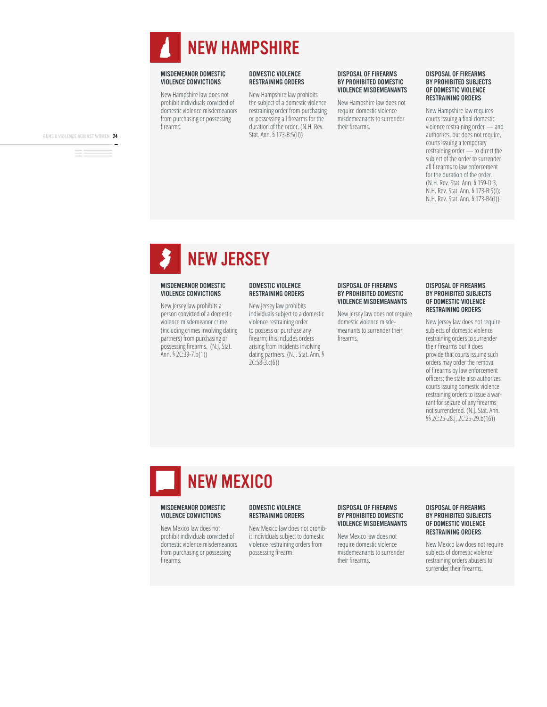

New Hampshire law does not prohibit individuals convicted of domestic violence misdemeanors from purchasing or possessing firearms

#### DOMESTIC VIOLENCE RESTRAINING ORDERS

New Hampshire law prohibits the subject of a domestic violence restraining order from purchasing or possessing all firearms for the duration of the order. (N.H. Rev. Stat. Ann. § 173-B:5(II))

#### DISPOSAL OF FIREARMS BY PROHIBITED DOMESTIC VIOLENCE MISDEMEANANTS

New Hampshire law does not require domestic violence misdemeanants to surrender their firearms

#### DISPOSAL OF FIREARMS BY PROHIBITED SUBJECTS OF DOMESTIC VIOLENCE RESTRAINING ORDERS

New Hampshire law requires courts issuing a final domestic violence restraining order — and authorizes, but does not require. courts issuing a temporary restraining order — to direct the subject of the order to surrender all firearms to law enforcement for the duration of the order. (N.H. Rev. Stat. Ann. § 159-D:3, N.H. Rev. Stat. Ann. § 173-B:5(I); N.H. Rev. Stat. Ann. § 173-B4(I))

### NEW JERSEY

#### MISDEMEANOR DOMESTIC VIOLENCE CONVICTIONS

New Jersey law prohibits a person convicted of a domestic violence misdemeanor crime (including crimes involving dating partners) from purchasing or possessing firearms. (N.J. Stat.  $Ann. § 2C:39-7.b(1)$ 

#### DOMESTIC VIOLENCE RESTRAINING ORDERS

New Jersey law prohibits individuals subject to a domestic violence restraining order to possess or purchase any firearm; this includes orders arising from incidents involving dating partners. (N.J. Stat. Ann. §  $2C:58-3.c(6)$ 

#### DISPOSAL OF FIREARMS BY PROHIBITED DOMESTIC VIOLENCE MISDEMEANANTS

New Jersey law does not require domestic violence misdemeanants to surrender their firearms

#### DISPOSAL OF FIREARMS BY PROHIBITED SUBJECTS OF DOMESTIC VIOLENCE RESTRAINING ORDERS

New Jersey law does not require subjects of domestic violence restraining orders to surrender their firearms but it does provide that courts issuing such orders may order the removal of firearms by law enforcement officers; the state also authorizes courts issuing domestic violence restraining orders to issue a warrant for seizure of any firearms not surrendered. (N.J. Stat. Ann. §§ 2C:25-28.j, 2C:25-29.b(16))

### NEW MEXICO

#### MISDEMEANOR DOMESTIC VIOLENCE CONVICTIONS

New Mexico law does not prohibit individuals convicted of domestic violence misdemeanors from purchasing or possessing firearms.

#### DOMESTIC VIOLENCE RESTRAINING ORDERS

New Mexico law does not prohibit individuals subject to domestic violence restraining orders from possessing firearm.

#### DISPOSAL OF FIREARMS BY PROHIBITED DOMESTIC VIOLENCE MISDEMEANANTS

New Mexico law does not require domestic violence misdemeanants to surrender their firearms.

#### DISPOSAL OF FIREARMS BY PROHIBITED SUBJECTS OF DOMESTIC VIOLENCE RESTRAINING ORDERS

New Mexico law does not require subjects of domestic violence restraining orders abusers to surrender their firearms.

GUNS & VIOLENCE AGAINST WOMEN 24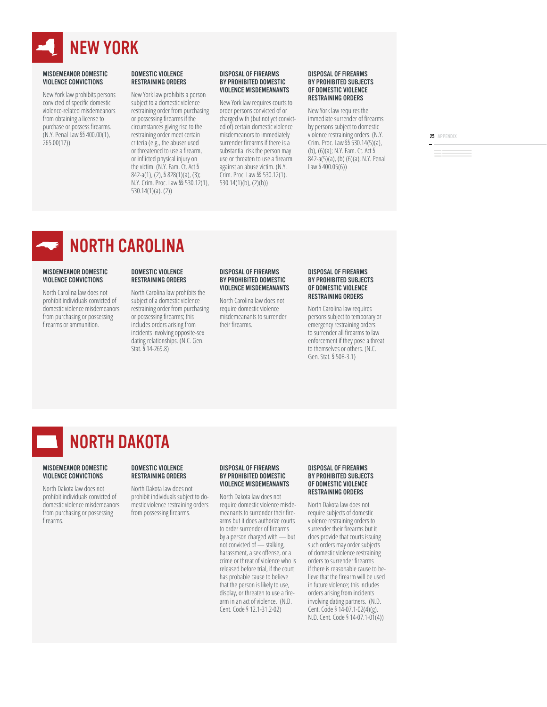

New York law prohibits persons convicted of specific domestic violence-related misdemeanors from obtaining a license to purchase or possess firearms. (N.Y. Penal Law §§ 400,00(1).  $265.00(17)$ 

#### DOMESTIC VIOLENCE RESTRAINING ORDERS

New York law prohibits a person subject to a domestic violence restraining order from purchasing or possessing firearms if the circumstances giving rise to the restraining order meet certain criteria (e.g., the abuser used or threatened to use a firearm, or inflicted physical injury on the victim. (N.Y. Fam. Ct. Act § 842-a(1), (2), § 828(1)(a), (3); N.Y. Crim. Proc. Law §§ 530.12(1),  $530.14(1)(a)$ , (2))

#### DISPOSAL OF FIREARMS BY PROHIBITED DOMESTIC VIOLENCE MISDEMEANANTS

New York law requires courts to order persons convicted of or charged with (but not yet convicted of) certain domestic violence misdemeanors to immediately surrender firearms if there is a substantial risk the person may use or threaten to use a firearm against an abuse victim. (N.Y. Crim. Proc. Law §§ 530.12(1).  $530.14(1)(b)$ ,  $(2)(b)$ 

#### DISPOSAL OF FIREARMS BY PROHIBITED SUBJECTS OF DOMESTIC VIOLENCE RESTRAINING ORDERS

New York law requires the immediate surrender of firearms by persons subject to domestic violence restraining orders. (N.Y. Crim. Proc. Law  $\S$ § 530.14(5)(a), (b),  $(6)(a)$ ; N.Y. Fam. Ct. Act § 842-a(5)(a), (b) (6)(a); N.Y. Penal Law  $§$  400.05(6))

25 APPENDIX

### NORTH CAROLINA

#### MISDEMEANOR DOMESTIC VIOLENCE CONVICTIONS

North Carolina law does not prohibit individuals convicted of domestic violence misdemeanors from purchasing or possessing firearms or ammunition.

#### DOMESTIC VIOLENCE RESTRAINING ORDERS

DOMESTIC VIOLENCE RESTRAINING ORDERS North Dakota law does not prohibit individuals subject to domestic violence restraining orders from possessing firearms.

North Carolina law prohibits the subject of a domestic violence restraining order from purchasing or possessing firearms; this includes orders arising from incidents involving opposite-sex dating relationships. (N.C. Gen. Stat. § 14-269.8)

#### DISPOSAL OF FIREARMS BY PROHIBITED DOMESTIC VIOLENCE MISDEMEANANTS

North Carolina law does not require domestic violence misdemeanants to surrender their firearms

#### DISPOSAL OF FIREARMS BY PROHIBITED SUBJECTS OF DOMESTIC VIOLENCE RESTRAINING ORDERS

North Carolina law requires persons subject to temporary or emergency restraining orders to surrender all firearms to law enforcement if they pose a threat to themselves or others. (N.C. Gen. Stat. § 50B-3.1)



#### MISDEMEANOR DOMESTIC VIOLENCE CONVICTIONS

North Dakota law does not prohibit individuals convicted of domestic violence misdemeanors from purchasing or possessing firearms

#### DISPOSAL OF FIREARMS BY PROHIBITED DOMESTIC VIOLENCE MISDEMEANANTS

North Dakota law does not require domestic violence misdemeanants to surrender their firearms but it does authorize courts to order surrender of firearms by a person charged with — but not convicted of  $\stackrel{\sim}{\phantom{\cdot}}$  stalking, harassment, a sex offense, or a crime or threat of violence who is released before trial, if the court has probable cause to believe that the person is likely to use, display, or threaten to use a firearm in an act of violence. (N.D. Cent. Code § 12.1-31.2-02)

#### DISPOSAL OF FIREARMS BY PROHIBITED SUBJECTS OF DOMESTIC VIOLENCE RESTRAINING ORDERS

North Dakota law does not require subjects of domestic violence restraining orders to surrender their firearms but it does provide that courts issuing such orders may order subjects of domestic violence restraining orders to surrender firearms if there is reasonable cause to believe that the firearm will be used in future violence; this includes orders arising from incidents involving dating partners. (N.D. Cent. Code § 14-07.1-02(4)(g), N.D. Cent. Code § 14-07.1-01(4))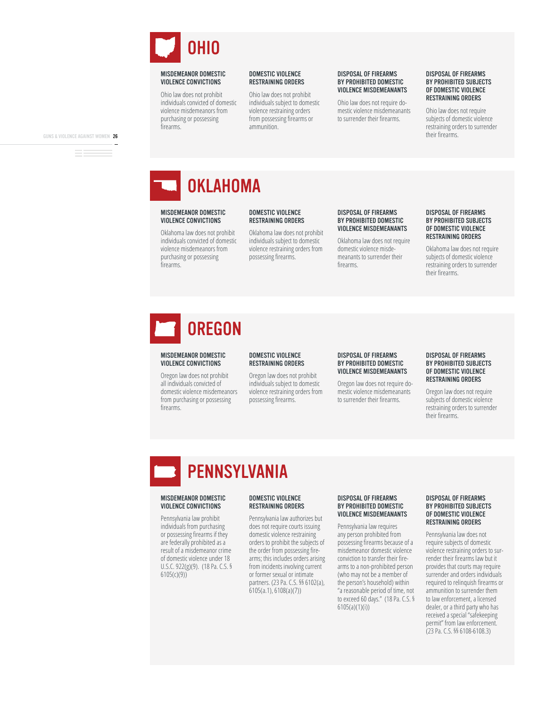

Ohio law does not prohibit individuals convicted of domestic violence misdemeanors from purchasing or possessing firearms.

#### DOMESTIC VIOLENCE RESTRAINING ORDERS

Ohio law does not prohibit individuals subject to domestic violence restraining orders from possessing firearms or ammunition.

#### DISPOSAL OF FIREARMS BY PROHIBITED DOMESTIC VIOLENCE MISDEMEANANTS

Ohio law does not require domestic violence misdemeanants to surrender their firearms.

#### DISPOSAL OF FIREARMS BY PROHIBITED SUBJECTS OF DOMESTIC VIOLENCE RESTRAINING ORDERS

Ohio law does not require subjects of domestic violence restraining orders to surrender their firearms.

GUNS & VIOLENCE AGAINST WOMEN 26

**OKLAHOMA** 

#### MISDEMEANOR DOMESTIC VIOLENCE CONVICTIONS

Oklahoma law does not prohibit individuals convicted of domestic violence misdemeanors from purchasing or possessing firearms.

#### Oklahoma law does not prohibit individuals subject to domestic violence restraining orders from

possessing firearms.

DOMESTIC VIOLENCE RESTRAINING ORDERS

#### DISPOSAL OF FIREARMS BY PROHIBITED DOMESTIC VIOLENCE MISDEMEANANTS

Oklahoma law does not require domestic violence misdemeanants to surrender their firearms.

#### DISPOSAL OF FIREARMS BY PROHIBITED SUBJECTS OF DOMESTIC VIOLENCE RESTRAINING ORDERS

Oklahoma law does not require subjects of domestic violence restraining orders to surrender their firearms.

# **OREGON**

#### MISDEMEANOR DOMESTIC VIOLENCE CONVICTIONS

Oregon law does not prohibit all individuals convicted of domestic violence misdemeanors from purchasing or possessing firearms

#### DOMESTIC VIOLENCE RESTRAINING ORDERS

Oregon law does not prohibit individuals subject to domestic violence restraining orders from possessing firearms.

#### DISPOSAL OF FIREARMS BY PROHIBITED DOMESTIC VIOLENCE MISDEMEANANTS

Oregon law does not require domestic violence misdemeanants to surrender their firearms.

#### DISPOSAL OF FIREARMS BY PROHIBITED SUBJECTS OF DOMESTIC VIOLENCE RESTRAINING ORDERS

Oregon law does not require subjects of domestic violence restraining orders to surrender their firearms

### PENNSYLVANIA

#### MISDEMEANOR DOMESTIC VIOLENCE CONVICTIONS

Pennsylvania law prohibit individuals from purchasing or possessing firearms if they are federally prohibited as a result of a misdemeanor crime of domestic violence under 18 U.S.C.  $922(g)(9)$ . (18 Pa. C.S. §  $6105(c)(9)$ 

#### DOMESTIC VIOLENCE RESTRAINING ORDERS

Pennsylvania law authorizes but does not require courts issuing domestic violence restraining orders to prohibit the subjects of the order from possessing firearms; this includes orders arising from incidents involving current or former sexual or intimate partners. (23 Pa. C.S. §§ 6102(a),  $6105(a.1), 6108(a)(7))$ 

#### DISPOSAL OF FIREARMS BY PROHIBITED DOMESTIC VIOLENCE MISDEMEANANTS

Pennsylvania law requires any person prohibited from possessing firearms because of a misdemeanor domestic violence conviction to transfer their firearms to a non-prohibited person (who may not be a member of the person's household) within "a reasonable period of time, not to exceed 60 days."  $(18 \text{ Pa. C.S.}$ §  $6105(a)(1)(i))$ 

#### DISPOSAL OF FIREARMS BY PROHIBITED SUBJECTS OF DOMESTIC VIOLENCE RESTRAINING ORDERS

Pennsylvania law does not require subjects of domestic violence restraining orders to surrender their firearms law but it provides that courts may require surrender and orders individuals required to relinquish firearms or ammunition to surrender them to law enforcement, a licensed dealer, or a third party who has received a special "safekeeping permit" from law enforcement. (23 Pa. C.S. §§ 6108-6108.3)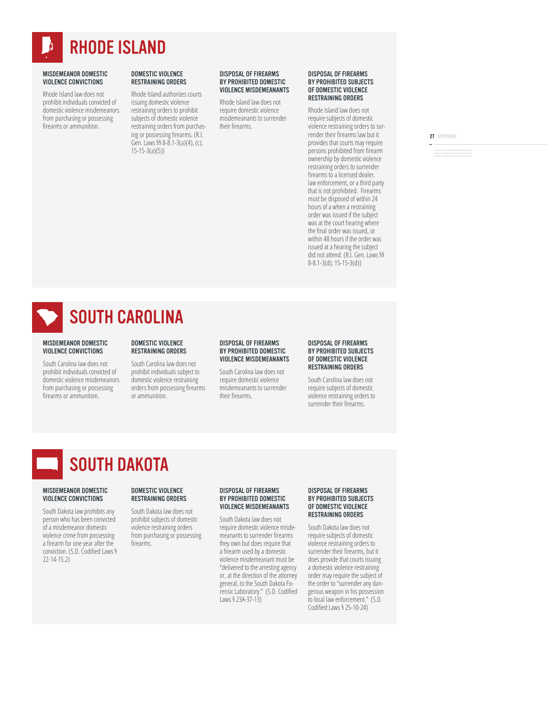

Rhode Island law does not prohibit individuals convicted of domestic violence misdemeanors from purchasing or possessing firearms or ammunition.

#### DOMESTIC VIOLENCE RESTRAINING ORDERS

Rhode Island authorizes courts issuing domestic violence restraining orders to prohibit subjects of domestic violence restraining orders from purchasing or possessing firearms. (R.I. Gen. Laws §§ 8-8.1-3(a)(4), (c),  $15-15-3(a)(5)$ 

#### DISPOSAL OF FIREARMS BY PROHIBITED DOMESTIC VIOLENCE MISDEMEANANTS

Rhode Island law does not require domestic violence misdemeanants to surrender their firearms

#### DISPOSAL OF FIREARMS BY PROHIBITED SUBJECTS OF DOMESTIC VIOLENCE RESTRAINING ORDERS

Rhode Island law does not require subjects of domestic violence restraining orders to surrender their firearms law but it provides that courts may require persons prohibited from firearm ownership by domestic violence restraining orders to surrender firearms to a licensed dealer. law enforcement, or a third party that is not prohibited. Firearms must be disposed of within 24 hours of a when a restraining order was issued if the subject was at the court hearing where the final order was issued, or within 48 hours if the order was issued at a hearing the subject did not attend. (R.I. Gen. Laws §§  $8-8.1-3(d)$ ; 15-15-3(d))

27 APPENDIX

### SOUTH CAROLINA

#### MISDEMEANOR DOMESTIC VIOLENCE CONVICTIONS

South Carolina law does not prohibit individuals convicted of domestic violence misdemeanors from purchasing or possessing firearms or ammunition.

#### DOMESTIC VIOLENCE RESTRAINING ORDERS

South Carolina law does not prohibit individuals subject to domestic violence restraining orders from possessing firearms or ammunition.

#### DISPOSAL OF FIREARMS BY PROHIBITED DOMESTIC VIOLENCE MISDEMEANANTS

South Carolina law does not require domestic violence misdemeanants to surrender their firearms.

#### DISPOSAL OF FIREARMS BY PROHIBITED SUBJECTS OF DOMESTIC VIOLENCE RESTRAINING ORDERS

South Carolina law does not require subjects of domestic violence restraining orders to surrender their firearms.

### SOUTH DAKOTA

#### MISDEMEANOR DOMESTIC VIOLENCE CONVICTIONS

South Dakota law prohibits any person who has been convicted of a misdemeanor domestic violence crime from possessing a firearm for one year after the conviction. (S.D. Codified Laws §  $22-14-15.2$ 

#### DOMESTIC VIOLENCE RESTRAINING ORDERS

South Dakota law does not prohibit subjects of domestic violence restraining orders from purchasing or possessing firearms.

#### DISPOSAL OF FIREARMS BY PROHIBITED DOMESTIC VIOLENCE MISDEMEANANTS

South Dakota law does not require domestic violence misdemeanants to surrender firearms they own but does require that a firearm used by a domestic violence misdemeanant must be "delivered to the arresting agency or, at the direction of the attorney general, to the South Dakota Forensic Laboratory." (S.D. Codified Laws § 23A-37-13)

#### DISPOSAL OF FIREARMS BY PROHIBITED SUBJECTS OF DOMESTIC VIOLENCE RESTRAINING ORDERS

South Dakota law does not require subjects of domestic violence restraining orders to surrender their firearms, but it does provide that courts issuing a domestic violence restraining order may require the subject of the order to "surrender any dangerous weapon in his possession to local law enforcement." (S.D. Codified Laws § 25-10-24)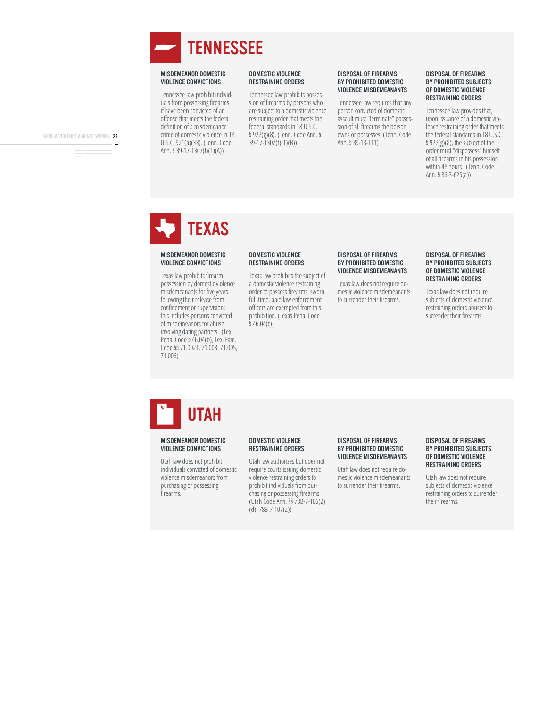

Tennessee law prohibit individuals from possessing firearms if have been convicted of an offense that meets the federal definition of a misdemeanor crime of domestic violence in 18 U.S.C. 921(a)(33). (Tenn. Code Ann. § 39-17-1307(f)(1)(A))

#### DOMESTIC VIOLENCE RESTRAINING ORDERS

Tennessee law prohibits possession of firearms by persons who are subject to a domestic violence restraining order that meets the federal standards in 18 U.S.C. § 922(g)(8). (Tenn. Code Ann. §  $39-17-1307(f)(1)(B))$ 

#### DISPOSAL OF FIREARMS BY PROHIBITED DOMESTIC VIOLENCE MISDEMEANANTS

Tennessee law requires that any person convicted of domestic assault must "terminate" possession of all firearms the person owns or possesses. (Tenn. Code Ann. § 39-13-111)

#### DISPOSAL OF FIREARMS BY PROHIBITED SUBJECTS OF DOMESTIC VIOLENCE RESTRAINING ORDERS

Tennessee law provides that, upon issuance of a domestic violence restraining order that meets the federal standards in 18 U.S.C. § 922(g)(8), the subject of the order must "dispossess" himself of all firearms in his possession within 48 hours. (Tenn. Code Ann.  $$36-3-625(a)$ 

GUNS & VIOLENCE AGAINST WOMEN 28

# **TEXAS**

#### MISDEMEANOR DOMESTIC VIOLENCE CONVICTIONS

Texas law prohibits firearm possession by domestic violence misdemeanants for five years following their release from confinement or supervision; this includes persons convicted of misdemeanors for abuse involving dating partners. (Tex. Penal Code § 46.04(b), Tex. Fam. Code §§ 71.0021, 71.003, 71.005, 71.006)

#### DOMESTIC VIOLENCE RESTRAINING ORDERS

Texas law prohibits the subject of a domestic violence restraining order to possess firearms; sworn, full-time, paid law enforcement officers are exempted from this prohibition. (Texas Penal Code  $\frac{1}{2}$  46.04(c))

#### DISPOSAL OF FIREARMS BY PROHIBITED DOMESTIC VIOLENCE MISDEMEANANTS

Texas law does not require domestic violence misdemeanants to surrender their firearms.

#### DISPOSAL OF FIREARMS BY PROHIBITED SUBJECTS OF DOMESTIC VIOLENCE RESTRAINING ORDERS

Texas law does not require subjects of domestic violence restraining orders abusers to surrender their firearms.

# UTAH

#### MISDEMEANOR DOMESTIC VIOLENCE CONVICTIONS

Utah law does not prohibit individuals convicted of domestic violence misdemeanors from purchasing or possessing firearms

#### DOMESTIC VIOLENCE RESTRAINING ORDERS

Utah law authorizes but does not require courts issuing domestic violence restraining orders to prohibit individuals from purchasing or possessing firearms. (Utah Code Ann. §§ 78B-7-106(2)  $(d)$ , 78B-7-107 $(2)$ )

#### DISPOSAL OF FIREARMS BY PROHIBITED DOMESTIC VIOLENCE MISDEMEANANTS

Utah law does not require domestic violence misdemeanants to surrender their firearms.

#### DISPOSAL OF FIREARMS BY PROHIBITED SUBJECTS OF DOMESTIC VIOLENCE RESTRAINING ORDERS

Utah law does not require subjects of domestic violence restraining orders to surrender their firearms.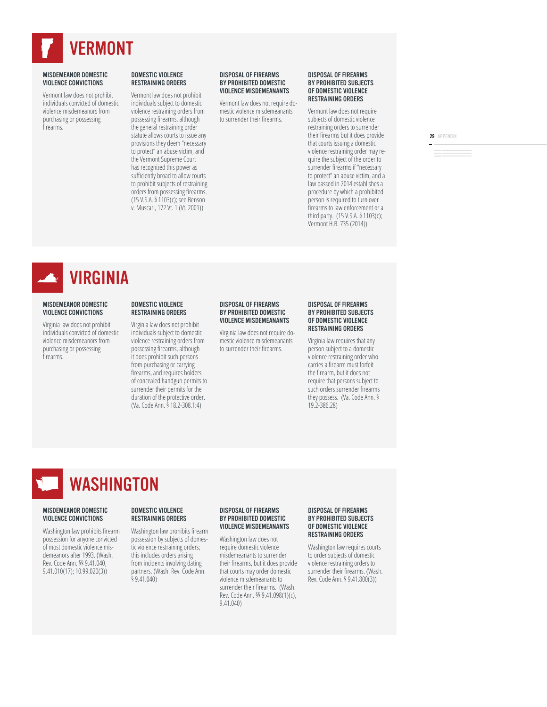

Vermont law does not prohibit individuals convicted of domestic violence misdemeanors from purchasing or possessing firearms.

#### DOMESTIC VIOLENCE RESTRAINING ORDERS

Vermont law does not prohibit individuals subject to domestic violence restraining orders from possessing firearms, although the general restraining order statute allows courts to issue any provisions they deem "necessary to protect" an abuse victim, and the Vermont Supreme Court has recognized this power as sufficiently broad to allow courts to prohibit subjects of restraining orders from possessing firearms. (15 V.S.A. § 1103(c); see Benson v. Muscari, 172 Vt. 1 (Vt. 2001))

#### DISPOSAL OF FIREARMS BY PROHIBITED DOMESTIC VIOLENCE MISDEMEANANTS

Vermont law does not require domestic violence misdemeanants to surrender their firearms.

#### DISPOSAL OF FIREARMS BY PROHIBITED SUBJECTS OF DOMESTIC VIOLENCE RESTRAINING ORDERS

Vermont law does not require subjects of domestic violence restraining orders to surrender their firearms but it does provide that courts issuing a domestic violence restraining order may require the subject of the order to surrender firearms if "necessary to protect" an abuse victim, and a law passed in 2014 establishes a procedure by which a prohibited person is required to turn over firearms to law enforcement or a third party.  $(15 \text{ V.S.A. } $1103(c);$ Vermont H.B. 735 (2014))

29 APPENDIX

VIRGINIA

#### MISDEMEANOR DOMESTIC VIOLENCE CONVICTIONS

Virginia law does not prohibit individuals convicted of domestic violence misdemeanors from purchasing or possessing firearms

#### DOMESTIC VIOLENCE RESTRAINING ORDERS

Virginia law does not prohibit individuals subject to domestic violence restraining orders from possessing firearms, although it does prohibit such persons from purchasing or carrying firearms, and requires holders of concealed handgun permits to surrender their permits for the duration of the protective order. (Va. Code Ann. § 18.2-308.1:4)

#### DISPOSAL OF FIREARMS BY PROHIBITED DOMESTIC VIOLENCE MISDEMEANANTS

Virginia law does not require domestic violence misdemeanants to surrender their firearms.

#### DISPOSAL OF FIREARMS BY PROHIBITED SUBJECTS OF DOMESTIC VIOLENCE RESTRAINING ORDERS

Virginia law requires that any person subject to a domestic violence restraining order who carries a firearm must forfeit the firearm, but it does not require that persons subject to such orders surrender firearms they possess. (Va. Code Ann. §  $19.2 - 386.28$ 

### WASHINGTON

#### MISDEMEANOR DOMESTIC VIOLENCE CONVICTIONS

Washington law prohibits firearm possession for anyone convicted of most domestic violence misdemeanors after 1993. (Wash. Rev. Code Ann. §§ 9.41.040,  $9.41.010(17)$ ; 10.99.020(3))

#### DOMESTIC VIOLENCE RESTRAINING ORDERS

Washington law prohibits firearm possession by subjects of domestic violence restraining orders; this includes orders arising from incidents involving dating partners. (Wash. Rev. Code Ann.  $$9.41.040$ )

#### DISPOSAL OF FIREARMS BY PROHIBITED DOMESTIC VIOLENCE MISDEMEANANTS

Washington law does not require domestic violence misdemeanants to surrender their firearms, but it does provide that courts may order domestic violence misdemeanants to surrender their firearms. (Wash. Rev. Code Ann. §§ 9.41.098(1)(c), 9.41.040)

#### DISPOSAL OF FIREARMS BY PROHIBITED SUBJECTS OF DOMESTIC VIOLENCE RESTRAINING ORDERS

Washington law requires courts to order subjects of domestic violence restraining orders to surrender their firearms. (Wash. Rev. Code Ann. § 9.41.800(3))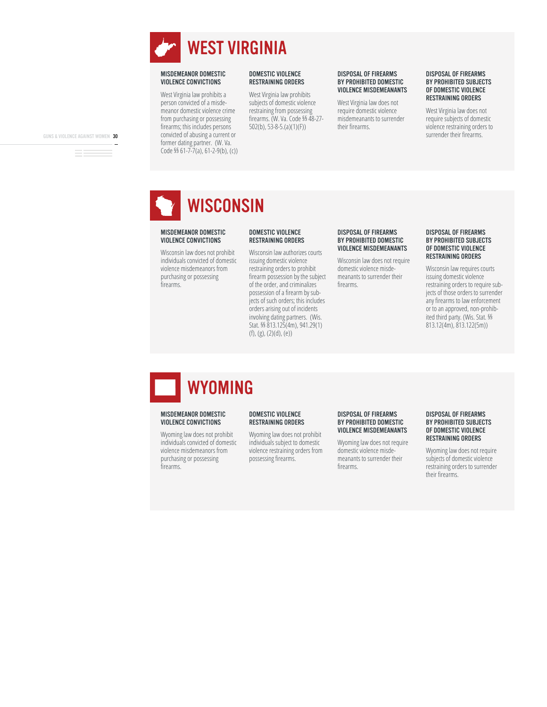

West Virginia law prohibits a person convicted of a misdemeanor domestic violence crime from purchasing or possessing firearms; this includes persons convicted of abusing a current or former dating partner. (W. Va. Code §§ 61-7-7(a), 61-2-9(b), (c))

#### DOMESTIC VIOLENCE RESTRAINING ORDERS

West Virginia law prohibits subjects of domestic violence restraining from possessing firearms. (W. Va. Code §§ 48-27- $502(b)$ , 53-8-5.(a)(1)(F))

#### DISPOSAL OF FIREARMS BY PROHIBITED DOMESTIC VIOLENCE MISDEMEANANTS

West Virginia law does not require domestic violence misdemeanants to surrender their firearms

#### DISPOSAL OF FIREARMS BY PROHIBITED SUBJECTS OF DOMESTIC VIOLENCE RESTRAINING ORDERS

West Virginia law does not require subjects of domestic violence restraining orders to surrender their firearms.

GUNS & VIOLENCE AGAINST WOMEN 30

# **WISCONSIN**

#### MISDEMEANOR DOMESTIC VIOLENCE CONVICTIONS

Wisconsin law does not prohibit individuals convicted of domestic violence misdemeanors from purchasing or possessing firearms.

#### DOMESTIC VIOLENCE RESTRAINING ORDERS

Wisconsin law authorizes courts issuing domestic violence restraining orders to prohibit firearm possession by the subject of the order, and criminalizes possession of a firearm by subjects of such orders; this includes orders arising out of incidents involving dating partners. (Wis. Stat. §§ 813.125(4m), 941.29(1)  $(f)$ , (g), (2)(d), (e))

#### DISPOSAL OF FIREARMS BY PROHIBITED DOMESTIC VIOLENCE MISDEMEANANTS

Wisconsin law does not require domestic violence misdemeanants to surrender their firearms

#### DISPOSAL OF FIREARMS BY PROHIBITED SUBJECTS OF DOMESTIC VIOLENCE RESTRAINING ORDERS

Wisconsin law requires courts issuing domestic violence restraining orders to require subjects of those orders to surrender any firearms to law enforcement or to an approved, non-prohibited third party. (Wis. Stat. §§ 813.12(4m), 813.122(5m))

# **WYOMING**

#### MISDEMEANOR DOMESTIC VIOLENCE CONVICTIONS

Wyoming law does not prohibit individuals convicted of domestic violence misdemeanors from purchasing or possessing firearms.

#### DOMESTIC VIOLENCE RESTRAINING ORDERS

Wyoming law does not prohibit individuals subject to domestic violence restraining orders from possessing firearms.

#### DISPOSAL OF FIREARMS BY PROHIBITED DOMESTIC VIOLENCE MISDEMEANANTS

Wyoming law does not require domestic violence misdemeanants to surrender their firearms.

#### DISPOSAL OF FIREARMS BY PROHIBITED SUBJECTS OF DOMESTIC VIOLENCE RESTRAINING ORDERS

Wyoming law does not require subjects of domestic violence restraining orders to surrender their firearms.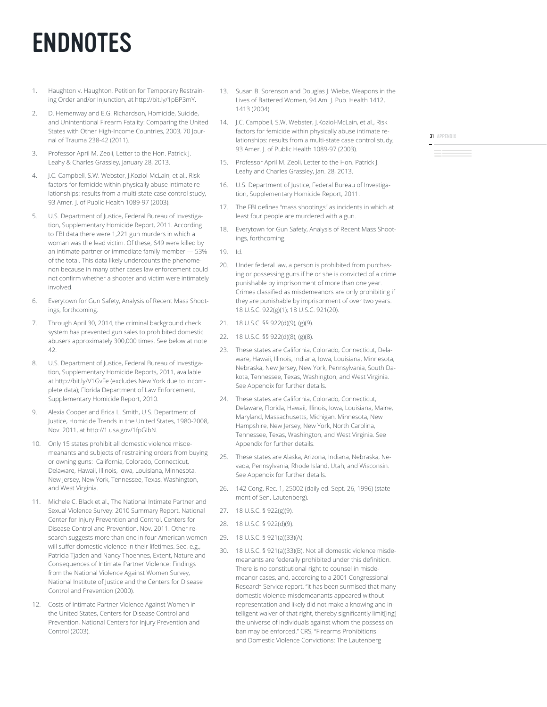# ENDNOTES

- 1. Haughton v. Haughton, Petition for Temporary Restraining Order and/or Injunction, at http://bit.ly/1pBP3mY.
- 2. D. Hemenway and E.G. Richardson, Homicide, Suicide, and Unintentional Firearm Fatality: Comparing the United States with Other High-Income Countries, 2003, 70 Journal of Trauma 238-42 (2011).
- 3. Professor April M. Zeoli, Letter to the Hon. Patrick J. Leahy & Charles Grassley, January 28, 2013.
- 4. J.C. Campbell, S.W. Webster, J.Koziol-McLain, et al., Risk factors for femicide within physically abuse intimate relationships: results from a multi-state case control study, 93 Amer. J. of Public Health 1089-97 (2003).
- 5. U.S. Department of Justice, Federal Bureau of Investigation, Supplementary Homicide Report, 2011. According to FBI data there were 1,221 gun murders in which a woman was the lead victim. Of these, 649 were killed by an intimate partner or immediate family member — 53% of the total. This data likely undercounts the phenomenon because in many other cases law enforcement could not confirm whether a shooter and victim were intimately involved.
- 6. Everytown for Gun Safety, Analysis of Recent Mass Shootings, forthcoming.
- Through April 30, 2014, the criminal background check system has prevented gun sales to prohibited domestic abusers approximately 300,000 times. See below at note 42.
- 8. U.S. Department of Justice, Federal Bureau of Investigation, Supplementary Homicide Reports, 2011, available at http://bit.ly/V1GvFe (excludes New York due to incomplete data); Florida Department of Law Enforcement, Supplementary Homicide Report, 2010.
- 9. Alexia Cooper and Erica L. Smith, U.S. Department of Justice, Homicide Trends in the United States, 1980-2008, Nov. 2011, at http://1.usa.gov/1fpGlbN.
- 10. Only 15 states prohibit all domestic violence misdemeanants and subjects of restraining orders from buying or owning guns: California, Colorado, Connecticut, Delaware, Hawaii, Illinois, Iowa, Louisiana, Minnesota, New Jersey, New York, Tennessee, Texas, Washington, and West Virginia.
- 11. Michele C. Black et al., The National Intimate Partner and Sexual Violence Survey: 2010 Summary Report, National Center for Injury Prevention and Control, Centers for Disease Control and Prevention, Nov. 2011. Other research suggests more than one in four American women will suffer domestic violence in their lifetimes. See, e.g., Patricia Tjaden and Nancy Thoennes, Extent, Nature and Consequences of Intimate Partner Violence: Findings from the National Violence Against Women Survey, National Institute of Justice and the Centers for Disease Control and Prevention (2000).
- 12. Costs of Intimate Partner Violence Against Women in the United States, Centers for Disease Control and Prevention, National Centers for Injury Prevention and Control (2003).
- 13. Susan B. Sorenson and Douglas J. Wiebe, Weapons in the Lives of Battered Women, 94 Am. J. Pub. Health 1412, 1413 (2004).
- 14. J.C. Campbell, S.W. Webster, J.Koziol-McLain, et al., Risk factors for femicide within physically abuse intimate relationships: results from a multi-state case control study, 93 Amer. J. of Public Health 1089-97 (2003).
- 15. Professor April M. Zeoli, Letter to the Hon. Patrick J. Leahy and Charles Grassley, Jan. 28, 2013.
- 16. U.S. Department of Justice, Federal Bureau of Investigation, Supplementary Homicide Report, 2011.
- 17. The FBI defines "mass shootings" as incidents in which at least four people are murdered with a gun.
- 18. Everytown for Gun Safety, Analysis of Recent Mass Shootings, forthcoming.
- 19. Id.
- 20. Under federal law, a person is prohibited from purchasing or possessing guns if he or she is convicted of a crime punishable by imprisonment of more than one year. Crimes classified as misdemeanors are only prohibiting if they are punishable by imprisonment of over two years. 18 U.S.C. 922(g)(1); 18 U.S.C. 921(20).
- 21. 18 U.S.C. §§ 922(d)(9), (g)(9).
- 22. 18 U.S.C. §§ 922(d)(8), (g)(8).
- 23. These states are California, Colorado, Connecticut, Delaware, Hawaii, Illinois, Indiana, Iowa, Louisiana, Minnesota, Nebraska, New Jersey, New York, Pennsylvania, South Dakota, Tennessee, Texas, Washington, and West Virginia. See Appendix for further details.
- 24. These states are California, Colorado, Connecticut, Delaware, Florida, Hawaii, Illinois, Iowa, Louisiana, Maine, Maryland, Massachusetts, Michigan, Minnesota, New Hampshire, New Jersey, New York, North Carolina, Tennessee, Texas, Washington, and West Virginia. See Appendix for further details.
- 25. These states are Alaska, Arizona, Indiana, Nebraska, Nevada, Pennsylvania, Rhode Island, Utah, and Wisconsin. See Appendix for further details.
- 26. 142 Cong. Rec. 1, 25002 (daily ed. Sept. 26, 1996) (statement of Sen. Lautenberg).
- 27. 18 U.S.C. § 922(g)(9).
- 28. 18 U.S.C. § 922(d)(9).
- 29. 18 U.S.C. § 921(a)(33)(A).
- 30. 18 U.S.C. § 921(a)(33)(B). Not all domestic violence misdemeanants are federally prohibited under this definition. There is no constitutional right to counsel in misdemeanor cases, and, according to a 2001 Congressional Research Service report, "it has been surmised that many domestic violence misdemeanants appeared without representation and likely did not make a knowing and intelligent waiver of that right, thereby significantly limit[ing] the universe of individuals against whom the possession ban may be enforced." CRS, "Firearms Prohibitions and Domestic Violence Convictions: The Lautenberg

31 APPENDIX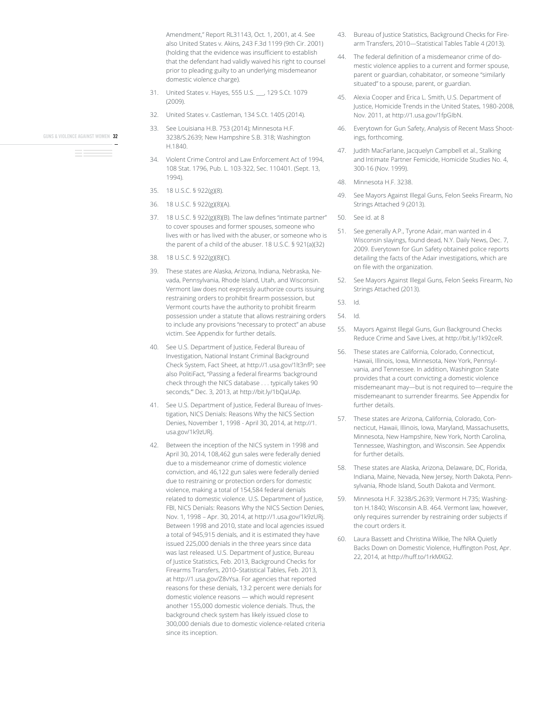Amendment," Report RL31143, Oct. 1, 2001, at 4. See also United States v. Akins, 243 F.3d 1199 (9th Cir. 2001) (holding that the evidence was insufficient to establish that the defendant had validly waived his right to counsel prior to pleading guilty to an underlying misdemeanor domestic violence charge).

- 31. United States v. Hayes, 555 U.S. 129 S.Ct. 1079  $(2009)$
- 32. United States v. Castleman, 134 S.Ct. 1405 (2014).
- 33. See Louisiana H.B. 753 (2014); Minnesota H.F. 3238/S.2639; New Hampshire S.B. 318; Washington H 1840
- 34. Violent Crime Control and Law Enforcement Act of 1994, 108 Stat. 1796, Pub. L. 103-322, Sec. 110401. (Sept. 13, 1994).
- 35. 18 U.S.C. § 922(g)(8).
- 36. 18 U.S.C. § 922(g)(8)(A).
- 37. 18 U.S.C. § 922(g)(8)(B). The law defines "intimate partner" to cover spouses and former spouses, someone who lives with or has lived with the abuser, or someone who is the parent of a child of the abuser. 18 U.S.C. § 921(a)(32)
- 38. 18 U.S.C. § 922(g)(8)(C).
- 39. These states are Alaska, Arizona, Indiana, Nebraska, Nevada, Pennsylvania, Rhode Island, Utah, and Wisconsin. Vermont law does not expressly authorize courts issuing restraining orders to prohibit firearm possession, but Vermont courts have the authority to prohibit firearm possession under a statute that allows restraining orders to include any provisions "necessary to protect" an abuse victim. See Appendix for further details.
- 40. See U.S. Department of Justice, Federal Bureau of Investigation, National Instant Criminal Background Check System, Fact Sheet, at http://1.usa.gov/1lt3nfP; see also PolitiFact, "Passing a federal firearms 'background check through the NICS database . . . typically takes 90 seconds,"" Dec. 3, 2013, at http://bit.ly/1bQaUAp.
- 41. See U.S. Department of Justice, Federal Bureau of Investigation, NICS Denials: Reasons Why the NICS Section Denies, November 1, 1998 - April 30, 2014, at http://1. usa.gov/1k9zURj.
- 42. Between the inception of the NICS system in 1998 and April 30, 2014, 108,462 gun sales were federally denied due to a misdemeanor crime of domestic violence conviction, and 46,122 gun sales were federally denied due to restraining or protection orders for domestic violence, making a total of 154,584 federal denials related to domestic violence. U.S. Department of Justice, FBI, NICS Denials: Reasons Why the NICS Section Denies, Nov. 1, 1998 - Apr. 30, 2014, at http://1.usa.gov/1k9zURj. Between 1998 and 2010, state and local agencies issued a total of 945,915 denials, and it is estimated they have issued 225,000 denials in the three years since data was last released. U.S. Department of Justice, Bureau of Justice Statistics, Feb. 2013, Background Checks for Firearms Transfers, 2010–Statistical Tables, Feb. 2013, at http://1.usa.gov/Z8vYsa. For agencies that reported reasons for these denials, 13.2 percent were denials for domestic violence reasons — which would represent another 155,000 domestic violence denials. Thus, the background check system has likely issued close to 300,000 denials due to domestic violence-related criteria since its inception.
- 43. Bureau of Justice Statistics, Background Checks for Firearm Transfers, 2010-Statistical Tables Table 4 (2013).
- 44. The federal definition of a misdemeanor crime of domestic violence applies to a current and former spouse, parent or guardian, cohabitator, or someone "similarly situated" to a spouse, parent, or guardian.
- 45. Alexia Cooper and Erica L. Smith, U.S. Department of Justice, Homicide Trends in the United States, 1980-2008, Nov. 2011, at http://1.usa.gov/1fpGlbN.
- 46. Everytown for Gun Safety, Analysis of Recent Mass Shootings, forthcoming.
- 47. Judith MacFarlane, Jacquelyn Campbell et al., Stalking and Intimate Partner Femicide, Homicide Studies No. 4, 300-16 (Nov. 1999).
- 48. Minnesota H.F. 3238.
- 49. See Mayors Against Illegal Guns, Felon Seeks Firearm, No Strings Attached 9 (2013).
- 50. See id. at 8
- 51. See generally A.P., Tyrone Adair, man wanted in 4 Wisconsin slayings, found dead, N.Y. Daily News, Dec. 7, 2009. Everytown for Gun Safety obtained police reports detailing the facts of the Adair investigations, which are on file with the organization.
- 52. See Mayors Against Illegal Guns, Felon Seeks Firearm, No Strings Attached (2013).

53. Id

54. Id.

- 55. Mayors Against Illegal Guns, Gun Background Checks Reduce Crime and Save Lives, at http://bit.ly/1k92ceR.
- 56. These states are California, Colorado, Connecticut, Hawaii, Illinois, Iowa, Minnesota, New York, Pennsylvania, and Tennessee. In addition, Washington State provides that a court convicting a domestic violence misdemeanant may-but is not required to-require the misdemeanant to surrender firearms. See Appendix for further details.
- 57. These states are Arizona, California, Colorado, Connecticut, Hawaii, Illinois, Iowa, Maryland, Massachusetts, Minnesota, New Hampshire, New York, North Carolina, Tennessee, Washington, and Wisconsin. See Appendix for further details.
- 58. These states are Alaska, Arizona, Delaware, DC, Florida, Indiana, Maine, Nevada, New Jersey, North Dakota, Pennsylvania, Rhode Island, South Dakota and Vermont.
- 59. Minnesota H.F. 3238/S.2639; Vermont H.735; Washington H.1840; Wisconsin A.B. 464. Vermont law, however, only requires surrender by restraining order subjects if the court orders it.
- 60. Laura Bassett and Christina Wilkie, The NRA Quietly Backs Down on Domestic Violence, Huffington Post, Apr. 22, 2014, at http://huff.to/1rkMXG2.

GUNS & VIOLENCE AGAINST WOMEN 32